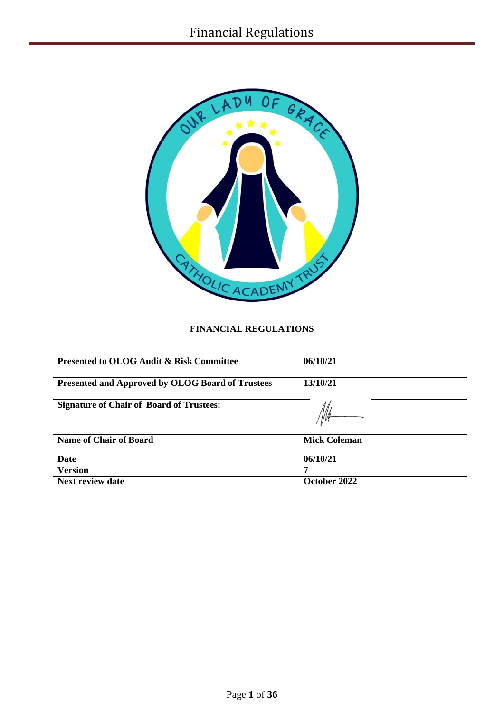

# **FINANCIAL REGULATIONS**

| <b>Presented to OLOG Audit &amp; Risk Committee</b>     | 06/10/21            |
|---------------------------------------------------------|---------------------|
| <b>Presented and Approved by OLOG Board of Trustees</b> | 13/10/21            |
| <b>Signature of Chair of Board of Trustees:</b>         |                     |
| <b>Name of Chair of Board</b>                           | <b>Mick Coleman</b> |
| Date                                                    | 06/10/21            |
| <b>Version</b>                                          | 7                   |
| <b>Next review date</b>                                 | October 2022        |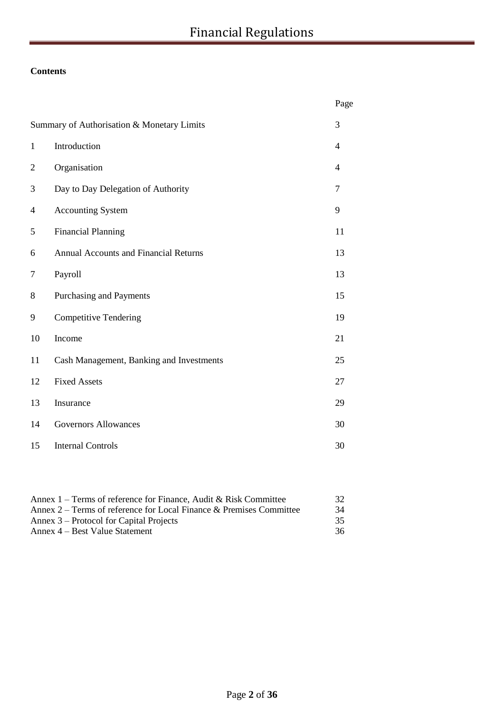# **Contents**

|                                            |                                              | Page           |
|--------------------------------------------|----------------------------------------------|----------------|
| Summary of Authorisation & Monetary Limits |                                              |                |
| $\mathbf{1}$                               | Introduction                                 | $\overline{4}$ |
| $\overline{2}$                             | Organisation                                 | $\overline{4}$ |
| 3                                          | Day to Day Delegation of Authority           | 7              |
| 4                                          | <b>Accounting System</b>                     | 9              |
| 5                                          | <b>Financial Planning</b>                    | 11             |
| 6                                          | <b>Annual Accounts and Financial Returns</b> | 13             |
| $\tau$                                     | Payroll                                      | 13             |
| 8                                          | Purchasing and Payments                      | 15             |
| 9                                          | <b>Competitive Tendering</b>                 | 19             |
| 10                                         | Income                                       | 21             |
| 11                                         | Cash Management, Banking and Investments     | 25             |
| 12                                         | <b>Fixed Assets</b>                          | 27             |
| 13                                         | Insurance                                    | 29             |
| 14                                         | <b>Governors Allowances</b>                  | 30             |
| 15                                         | <b>Internal Controls</b>                     | 30             |

| Annex $1$ – Terms of reference for Finance, Audit & Risk Committee  | 32 |
|---------------------------------------------------------------------|----|
| Annex 2 – Terms of reference for Local Finance & Premises Committee | 34 |
| Annex 3 – Protocol for Capital Projects                             | 35 |
| Annex 4 – Best Value Statement                                      | 36 |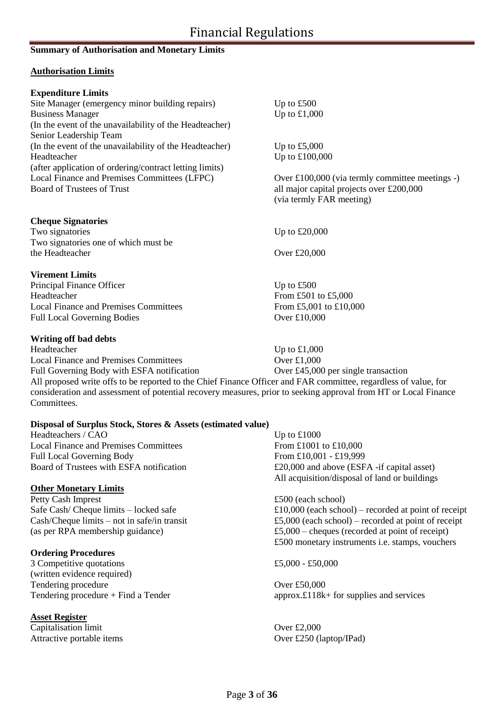# Financial Regulations

### **Summary of Authorisation and Monetary Limits**

### **Authorisation Limits**

| <b>Expenditure Limits</b>                               |                                                 |
|---------------------------------------------------------|-------------------------------------------------|
| Site Manager (emergency minor building repairs)         | Up to $£500$                                    |
| <b>Business Manager</b>                                 | Up to $£1,000$                                  |
| (In the event of the unavailability of the Headteacher) |                                                 |
| Senior Leadership Team                                  |                                                 |
| (In the event of the unavailability of the Headteacher) | Up to $£5,000$                                  |
| Headteacher                                             | Up to £100,000                                  |
| (after application of ordering/contract letting limits) |                                                 |
| Local Finance and Premises Committees (LFPC)            | Over £100,000 (via termly committee meetings -) |
| <b>Board of Trustees of Trust</b>                       | all major capital projects over £200,000        |
|                                                         | (via termly FAR meeting)                        |
| <b>Cheque Signatories</b>                               |                                                 |
| Two signatories                                         | Up to $£20,000$                                 |
| Two signatories one of which must be                    |                                                 |
| the Headteacher                                         | Over £20,000                                    |
| <b>Virement Limits</b>                                  |                                                 |
| Principal Finance Officer                               | Up to $£500$                                    |
| Headteacher                                             | From £501 to £5,000                             |
| <b>Local Finance and Premises Committees</b>            | From £5,001 to £10,000                          |
| <b>Full Local Governing Bodies</b>                      | Over £10,000                                    |
| Writing off bad debts                                   |                                                 |

Headteacher Up to £1,000 Local Finance and Premises Committees Over £1,000 Full Governing Body with ESFA notification Over £45,000 per single transaction All proposed write offs to be reported to the Chief Finance Officer and FAR committee, regardless of value, for consideration and assessment of potential recovery measures, prior to seeking approval from HT or Local Finance Committees.

### **Disposal of Surplus Stock, Stores & Assets (estimated value)**

Headteachers / CAO Up to £1000 Local Finance and Premises Committees From £1001 to £10,000 Full Local Governing Body From £10,001 - £19,999

## **Other Monetary Limits**

Petty Cash Imprest **2500** (each school)

### **Ordering Procedures**

3 Competitive quotations  $£5,000 - £50,000$ (written evidence required) Tendering procedure Over £50,000

### **Asset Register**

Capitalisation limit Over £2,000 Attractive portable items Over £250 (laptop/IPad)

Board of Trustees with ESFA notification  $\text{E20,000}$  and above (ESFA -if capital asset) All acquisition/disposal of land or buildings

Safe Cash/ Cheque limits – locked safe  $£10,000$  (each school) – recorded at point of receipt Cash/Cheque limits – not in safe/in transit  $\text{\textsterling}5,000$  (each school) – recorded at point of receipt (as per RPA membership guidance) £5,000 – cheques (recorded at point of receipt) £500 monetary instruments i.e. stamps, vouchers

Tendering procedure + Find a Tender approx.£118k+ for supplies and services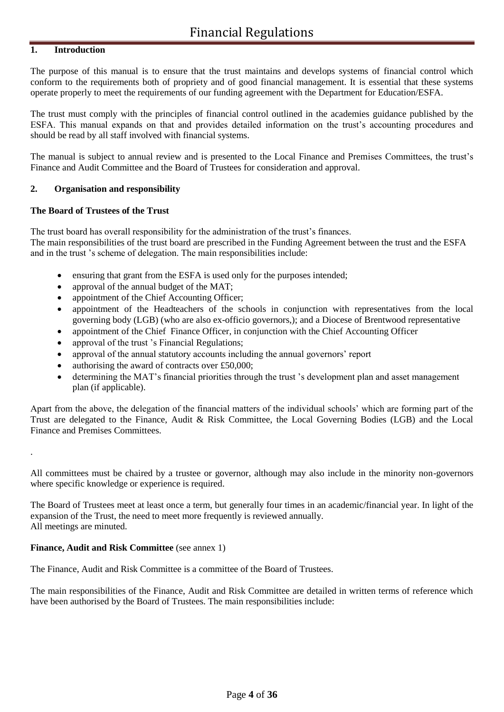### **1. Introduction**

The purpose of this manual is to ensure that the trust maintains and develops systems of financial control which conform to the requirements both of propriety and of good financial management. It is essential that these systems operate properly to meet the requirements of our funding agreement with the Department for Education/ESFA.

The trust must comply with the principles of financial control outlined in the academies guidance published by the ESFA. This manual expands on that and provides detailed information on the trust's accounting procedures and should be read by all staff involved with financial systems.

The manual is subject to annual review and is presented to the Local Finance and Premises Committees, the trust's Finance and Audit Committee and the Board of Trustees for consideration and approval.

### **2. Organisation and responsibility**

### **The Board of Trustees of the Trust**

The trust board has overall responsibility for the administration of the trust's finances.

The main responsibilities of the trust board are prescribed in the Funding Agreement between the trust and the ESFA and in the trust 's scheme of delegation. The main responsibilities include:

- ensuring that grant from the ESFA is used only for the purposes intended;
- approval of the annual budget of the MAT;
- appointment of the Chief Accounting Officer;
- appointment of the Headteachers of the schools in conjunction with representatives from the local governing body (LGB) (who are also ex-officio governors,); and a Diocese of Brentwood representative
- appointment of the Chief Finance Officer, in conjunction with the Chief Accounting Officer
- approval of the trust 's Financial Regulations;
- approval of the annual statutory accounts including the annual governors' report
- authorising the award of contracts over £50,000;
- determining the MAT's financial priorities through the trust 's development plan and asset management plan (if applicable).

Apart from the above, the delegation of the financial matters of the individual schools' which are forming part of the Trust are delegated to the Finance, Audit & Risk Committee, the Local Governing Bodies (LGB) and the Local Finance and Premises Committees.

All committees must be chaired by a trustee or governor, although may also include in the minority non-governors where specific knowledge or experience is required.

The Board of Trustees meet at least once a term, but generally four times in an academic/financial year. In light of the expansion of the Trust, the need to meet more frequently is reviewed annually. All meetings are minuted.

### **Finance, Audit and Risk Committee** (see annex 1)

.

The Finance, Audit and Risk Committee is a committee of the Board of Trustees.

The main responsibilities of the Finance, Audit and Risk Committee are detailed in written terms of reference which have been authorised by the Board of Trustees. The main responsibilities include: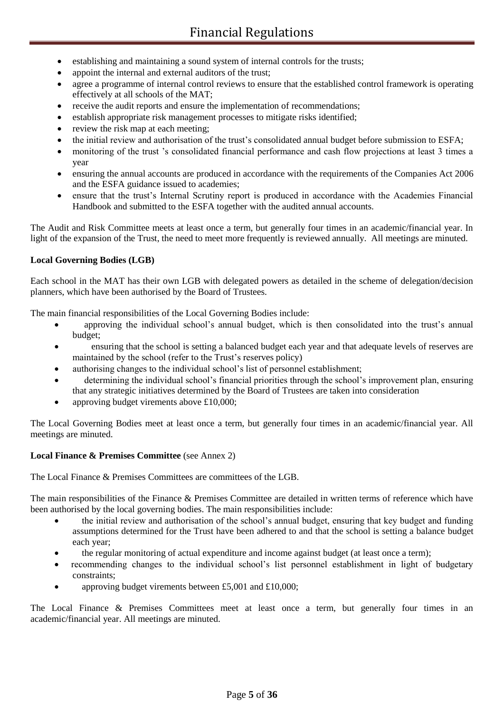- establishing and maintaining a sound system of internal controls for the trusts;
- appoint the internal and external auditors of the trust;
- agree a programme of internal control reviews to ensure that the established control framework is operating effectively at all schools of the MAT;
- receive the audit reports and ensure the implementation of recommendations;
- establish appropriate risk management processes to mitigate risks identified;
- review the risk map at each meeting;
- the initial review and authorisation of the trust's consolidated annual budget before submission to ESFA;
- monitoring of the trust 's consolidated financial performance and cash flow projections at least 3 times a year
- ensuring the annual accounts are produced in accordance with the requirements of the Companies Act 2006 and the ESFA guidance issued to academies;
- ensure that the trust's Internal Scrutiny report is produced in accordance with the Academies Financial Handbook and submitted to the ESFA together with the audited annual accounts.

The Audit and Risk Committee meets at least once a term, but generally four times in an academic/financial year. In light of the expansion of the Trust, the need to meet more frequently is reviewed annually. All meetings are minuted.

### **Local Governing Bodies (LGB)**

Each school in the MAT has their own LGB with delegated powers as detailed in the scheme of delegation/decision planners, which have been authorised by the Board of Trustees.

The main financial responsibilities of the Local Governing Bodies include:

- approving the individual school's annual budget, which is then consolidated into the trust's annual budget;
- ensuring that the school is setting a balanced budget each year and that adequate levels of reserves are maintained by the school (refer to the Trust's reserves policy)
- authorising changes to the individual school's list of personnel establishment;
- determining the individual school's financial priorities through the school's improvement plan, ensuring that any strategic initiatives determined by the Board of Trustees are taken into consideration
- approving budget virements above £10,000;

The Local Governing Bodies meet at least once a term, but generally four times in an academic/financial year. All meetings are minuted.

### **Local Finance & Premises Committee** (see Annex 2)

The Local Finance & Premises Committees are committees of the LGB.

The main responsibilities of the Finance & Premises Committee are detailed in written terms of reference which have been authorised by the local governing bodies. The main responsibilities include:

- the initial review and authorisation of the school's annual budget, ensuring that key budget and funding assumptions determined for the Trust have been adhered to and that the school is setting a balance budget each year;
- the regular monitoring of actual expenditure and income against budget (at least once a term);
- recommending changes to the individual school's list personnel establishment in light of budgetary constraints;
- approving budget virements between £5,001 and £10,000;

The Local Finance & Premises Committees meet at least once a term, but generally four times in an academic/financial year. All meetings are minuted.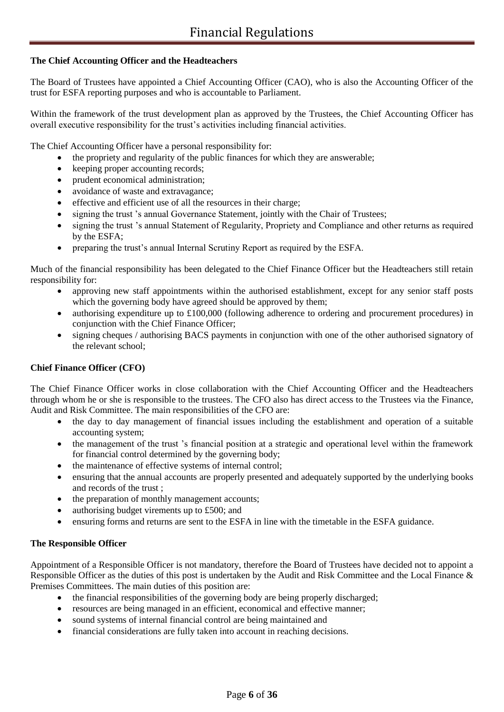### **The Chief Accounting Officer and the Headteachers**

The Board of Trustees have appointed a Chief Accounting Officer (CAO), who is also the Accounting Officer of the trust for ESFA reporting purposes and who is accountable to Parliament.

Within the framework of the trust development plan as approved by the Trustees, the Chief Accounting Officer has overall executive responsibility for the trust's activities including financial activities.

The Chief Accounting Officer have a personal responsibility for:

- the propriety and regularity of the public finances for which they are answerable;
- keeping proper accounting records;
- prudent economical administration;
- avoidance of waste and extravagance;
- effective and efficient use of all the resources in their charge;
- signing the trust 's annual Governance Statement, jointly with the Chair of Trustees;
- signing the trust 's annual Statement of Regularity, Propriety and Compliance and other returns as required by the ESFA;
- preparing the trust's annual Internal Scrutiny Report as required by the ESFA.

Much of the financial responsibility has been delegated to the Chief Finance Officer but the Headteachers still retain responsibility for:

- approving new staff appointments within the authorised establishment, except for any senior staff posts which the governing body have agreed should be approved by them;
- authorising expenditure up to £100,000 (following adherence to ordering and procurement procedures) in conjunction with the Chief Finance Officer;
- signing cheques / authorising BACS payments in conjunction with one of the other authorised signatory of the relevant school;

### **Chief Finance Officer (CFO)**

The Chief Finance Officer works in close collaboration with the Chief Accounting Officer and the Headteachers through whom he or she is responsible to the trustees. The CFO also has direct access to the Trustees via the Finance, Audit and Risk Committee. The main responsibilities of the CFO are:

- the day to day management of financial issues including the establishment and operation of a suitable accounting system;
- the management of the trust 's financial position at a strategic and operational level within the framework for financial control determined by the governing body;
- the maintenance of effective systems of internal control;
- ensuring that the annual accounts are properly presented and adequately supported by the underlying books and records of the trust ;
- the preparation of monthly management accounts;
- authorising budget virements up to £500; and
- ensuring forms and returns are sent to the ESFA in line with the timetable in the ESFA guidance.

### **The Responsible Officer**

Appointment of a Responsible Officer is not mandatory, therefore the Board of Trustees have decided not to appoint a Responsible Officer as the duties of this post is undertaken by the Audit and Risk Committee and the Local Finance & Premises Committees. The main duties of this position are:

- the financial responsibilities of the governing body are being properly discharged;
- resources are being managed in an efficient, economical and effective manner;
- sound systems of internal financial control are being maintained and
- financial considerations are fully taken into account in reaching decisions.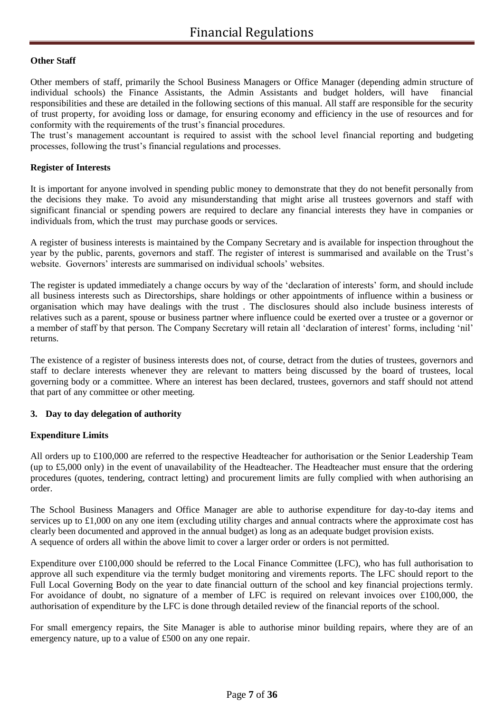### **Other Staff**

Other members of staff, primarily the School Business Managers or Office Manager (depending admin structure of individual schools) the Finance Assistants, the Admin Assistants and budget holders, will have financial responsibilities and these are detailed in the following sections of this manual. All staff are responsible for the security of trust property, for avoiding loss or damage, for ensuring economy and efficiency in the use of resources and for conformity with the requirements of the trust's financial procedures.

The trust's management accountant is required to assist with the school level financial reporting and budgeting processes, following the trust's financial regulations and processes.

### **Register of Interests**

It is important for anyone involved in spending public money to demonstrate that they do not benefit personally from the decisions they make. To avoid any misunderstanding that might arise all trustees governors and staff with significant financial or spending powers are required to declare any financial interests they have in companies or individuals from, which the trust may purchase goods or services.

A register of business interests is maintained by the Company Secretary and is available for inspection throughout the year by the public, parents, governors and staff. The register of interest is summarised and available on the Trust's website. Governors' interests are summarised on individual schools' websites.

The register is updated immediately a change occurs by way of the 'declaration of interests' form, and should include all business interests such as Directorships, share holdings or other appointments of influence within a business or organisation which may have dealings with the trust . The disclosures should also include business interests of relatives such as a parent, spouse or business partner where influence could be exerted over a trustee or a governor or a member of staff by that person. The Company Secretary will retain all 'declaration of interest' forms, including 'nil' returns.

The existence of a register of business interests does not, of course, detract from the duties of trustees, governors and staff to declare interests whenever they are relevant to matters being discussed by the board of trustees, local governing body or a committee. Where an interest has been declared, trustees, governors and staff should not attend that part of any committee or other meeting.

### **3. Day to day delegation of authority**

### **Expenditure Limits**

All orders up to £100,000 are referred to the respective Headteacher for authorisation or the Senior Leadership Team (up to £5,000 only) in the event of unavailability of the Headteacher. The Headteacher must ensure that the ordering procedures (quotes, tendering, contract letting) and procurement limits are fully complied with when authorising an order.

The School Business Managers and Office Manager are able to authorise expenditure for day-to-day items and services up to £1,000 on any one item (excluding utility charges and annual contracts where the approximate cost has clearly been documented and approved in the annual budget) as long as an adequate budget provision exists. A sequence of orders all within the above limit to cover a larger order or orders is not permitted.

Expenditure over £100,000 should be referred to the Local Finance Committee (LFC), who has full authorisation to approve all such expenditure via the termly budget monitoring and virements reports. The LFC should report to the Full Local Governing Body on the year to date financial outturn of the school and key financial projections termly. For avoidance of doubt, no signature of a member of LFC is required on relevant invoices over £100,000, the authorisation of expenditure by the LFC is done through detailed review of the financial reports of the school.

For small emergency repairs, the Site Manager is able to authorise minor building repairs, where they are of an emergency nature, up to a value of £500 on any one repair.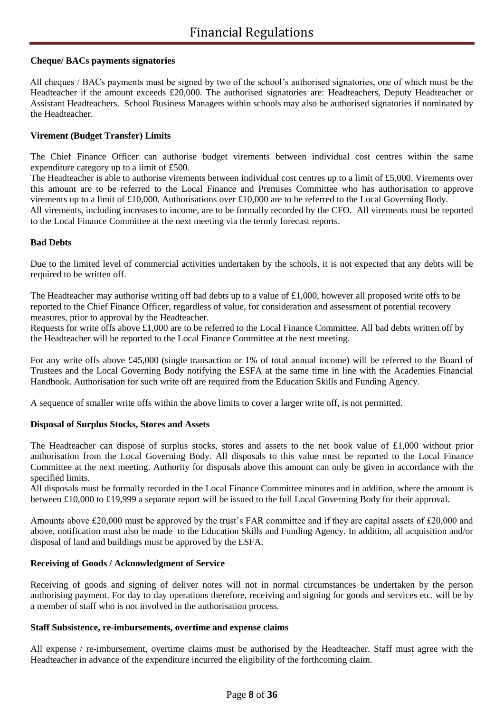### **Cheque/ BACs payments signatories**

All cheques / BACs payments must be signed by two of the school's authorised signatories, one of which must be the Headteacher if the amount exceeds £20,000. The authorised signatories are: Headteachers, Deputy Headteacher or Assistant Headteachers. School Business Managers within schools may also be authorised signatories if nominated by the Headteacher.

### **Virement (Budget Transfer) Limits**

The Chief Finance Officer can authorise budget virements between individual cost centres within the same expenditure category up to a limit of £500.

The Headteacher is able to authorise virements between individual cost centres up to a limit of £5,000. Virements over this amount are to be referred to the Local Finance and Premises Committee who has authorisation to approve virements up to a limit of £10,000. Authorisations over £10,000 are to be referred to the Local Governing Body.

All virements, including increases to income, are to be formally recorded by the CFO. All virements must be reported to the Local Finance Committee at the next meeting via the termly forecast reports.

### **Bad Debts**

Due to the limited level of commercial activities undertaken by the schools, it is not expected that any debts will be required to be written off.

The Headteacher may authorise writing off bad debts up to a value of £1,000, however all proposed write offs to be reported to the Chief Finance Officer, regardless of value, for consideration and assessment of potential recovery measures, prior to approval by the Headteacher.

Requests for write offs above £1,000 are to be referred to the Local Finance Committee. All bad debts written off by the Headteacher will be reported to the Local Finance Committee at the next meeting.

For any write offs above £45,000 (single transaction or 1% of total annual income) will be referred to the Board of Trustees and the Local Governing Body notifying the ESFA at the same time in line with the Academies Financial Handbook. Authorisation for such write off are required from the Education Skills and Funding Agency.

A sequence of smaller write offs within the above limits to cover a larger write off, is not permitted.

### **Disposal of Surplus Stocks, Stores and Assets**

The Headteacher can dispose of surplus stocks, stores and assets to the net book value of £1,000 without prior authorisation from the Local Governing Body. All disposals to this value must be reported to the Local Finance Committee at the next meeting. Authority for disposals above this amount can only be given in accordance with the specified limits.

All disposals must be formally recorded in the Local Finance Committee minutes and in addition, where the amount is between £10,000 to £19,999 a separate report will be issued to the full Local Governing Body for their approval.

Amounts above £20,000 must be approved by the trust's FAR committee and if they are capital assets of £20,000 and above, notification must also be made to the Education Skills and Funding Agency. In addition, all acquisition and/or disposal of land and buildings must be approved by the ESFA.

### **Receiving of Goods / Acknowledgment of Service**

Receiving of goods and signing of deliver notes will not in normal circumstances be undertaken by the person authorising payment. For day to day operations therefore, receiving and signing for goods and services etc. will be by a member of staff who is not involved in the authorisation process.

### **Staff Subsistence, re-imbursements, overtime and expense claims**

All expense / re-imbursement, overtime claims must be authorised by the Headteacher. Staff must agree with the Headteacher in advance of the expenditure incurred the eligibility of the forthcoming claim.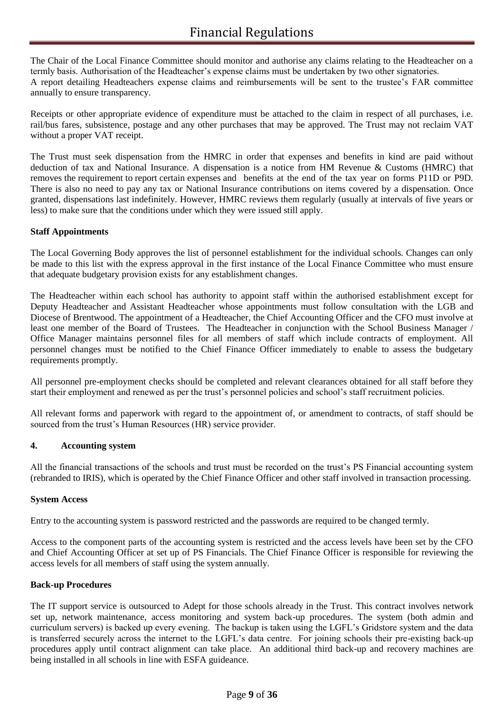The Chair of the Local Finance Committee should monitor and authorise any claims relating to the Headteacher on a termly basis. Authorisation of the Headteacher's expense claims must be undertaken by two other signatories. A report detailing Headteachers expense claims and reimbursements will be sent to the trustee's FAR committee annually to ensure transparency.

Receipts or other appropriate evidence of expenditure must be attached to the claim in respect of all purchases, i.e. rail/bus fares, subsistence, postage and any other purchases that may be approved. The Trust may not reclaim VAT without a proper VAT receipt.

The Trust must seek dispensation from the HMRC in order that expenses and benefits in kind are paid without deduction of tax and National Insurance. A dispensation is a notice from HM Revenue & Customs (HMRC) that removes the requirement to report certain expenses and benefits at the end of the tax year on forms P11D or P9D. There is also no need to pay any tax or National Insurance contributions on items covered by a dispensation. Once granted, dispensations last indefinitely. However, HMRC reviews them regularly (usually at intervals of five years or less) to make sure that the conditions under which they were issued still apply.

### **Staff Appointments**

The Local Governing Body approves the list of personnel establishment for the individual schools. Changes can only be made to this list with the express approval in the first instance of the Local Finance Committee who must ensure that adequate budgetary provision exists for any establishment changes.

The Headteacher within each school has authority to appoint staff within the authorised establishment except for Deputy Headteacher and Assistant Headteacher whose appointments must follow consultation with the LGB and Diocese of Brentwood. The appointment of a Headteacher, the Chief Accounting Officer and the CFO must involve at least one member of the Board of Trustees. The Headteacher in conjunction with the School Business Manager / Office Manager maintains personnel files for all members of staff which include contracts of employment. All personnel changes must be notified to the Chief Finance Officer immediately to enable to assess the budgetary requirements promptly.

All personnel pre-employment checks should be completed and relevant clearances obtained for all staff before they start their employment and renewed as per the trust's personnel policies and school's staff recruitment policies.

All relevant forms and paperwork with regard to the appointment of, or amendment to contracts, of staff should be sourced from the trust's Human Resources (HR) service provider.

### **4. Accounting system**

All the financial transactions of the schools and trust must be recorded on the trust's PS Financial accounting system (rebranded to IRIS), which is operated by the Chief Finance Officer and other staff involved in transaction processing.

### **System Access**

Entry to the accounting system is password restricted and the passwords are required to be changed termly.

Access to the component parts of the accounting system is restricted and the access levels have been set by the CFO and Chief Accounting Officer at set up of PS Financials. The Chief Finance Officer is responsible for reviewing the access levels for all members of staff using the system annually.

### **Back-up Procedures**

The IT support service is outsourced to Adept for those schools already in the Trust. This contract involves network set up, network maintenance, access monitoring and system back-up procedures. The system (both admin and curriculum servers) is backed up every evening. The backup is taken using the LGFL's Gridstore system and the data is transferred securely across the internet to the LGFL's data centre. For joining schools their pre-existing back-up procedures apply until contract alignment can take place. An additional third back-up and recovery machines are being installed in all schools in line with ESFA guideance.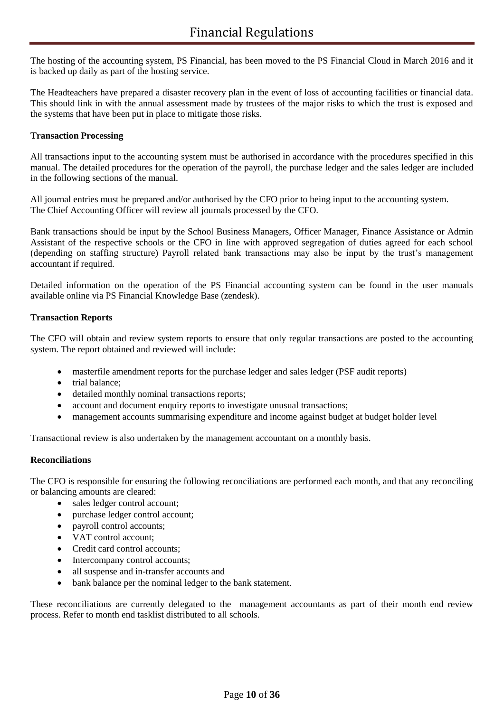The hosting of the accounting system, PS Financial, has been moved to the PS Financial Cloud in March 2016 and it is backed up daily as part of the hosting service.

The Headteachers have prepared a disaster recovery plan in the event of loss of accounting facilities or financial data. This should link in with the annual assessment made by trustees of the major risks to which the trust is exposed and the systems that have been put in place to mitigate those risks.

### **Transaction Processing**

All transactions input to the accounting system must be authorised in accordance with the procedures specified in this manual. The detailed procedures for the operation of the payroll, the purchase ledger and the sales ledger are included in the following sections of the manual.

All journal entries must be prepared and/or authorised by the CFO prior to being input to the accounting system. The Chief Accounting Officer will review all journals processed by the CFO.

Bank transactions should be input by the School Business Managers, Officer Manager, Finance Assistance or Admin Assistant of the respective schools or the CFO in line with approved segregation of duties agreed for each school (depending on staffing structure) Payroll related bank transactions may also be input by the trust's management accountant if required.

Detailed information on the operation of the PS Financial accounting system can be found in the user manuals available online via PS Financial Knowledge Base (zendesk).

### **Transaction Reports**

The CFO will obtain and review system reports to ensure that only regular transactions are posted to the accounting system. The report obtained and reviewed will include:

- masterfile amendment reports for the purchase ledger and sales ledger (PSF audit reports)
- trial balance:
- detailed monthly nominal transactions reports;
- account and document enquiry reports to investigate unusual transactions;
- management accounts summarising expenditure and income against budget at budget holder level

Transactional review is also undertaken by the management accountant on a monthly basis.

### **Reconciliations**

The CFO is responsible for ensuring the following reconciliations are performed each month, and that any reconciling or balancing amounts are cleared:

- sales ledger control account;
- purchase ledger control account;
- payroll control accounts;
- VAT control account;
- Credit card control accounts;
- Intercompany control accounts;
- all suspense and in-transfer accounts and
- bank balance per the nominal ledger to the bank statement.

These reconciliations are currently delegated to the management accountants as part of their month end review process. Refer to month end tasklist distributed to all schools.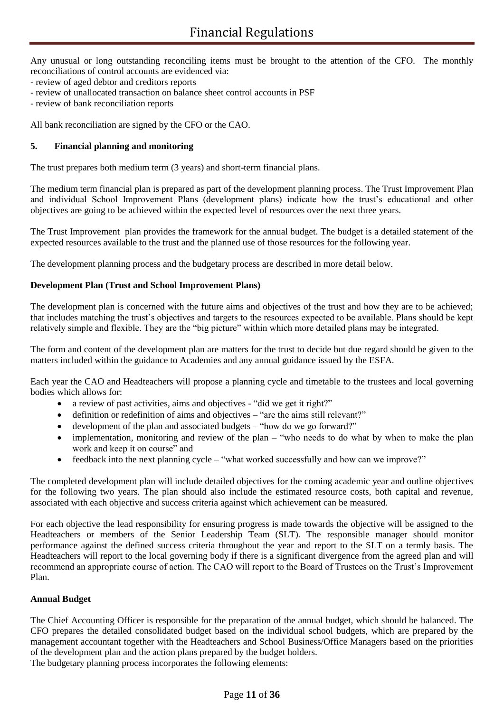Any unusual or long outstanding reconciling items must be brought to the attention of the CFO. The monthly reconciliations of control accounts are evidenced via:

- review of aged debtor and creditors reports
- review of unallocated transaction on balance sheet control accounts in PSF
- review of bank reconciliation reports

All bank reconciliation are signed by the CFO or the CAO.

### **5. Financial planning and monitoring**

The trust prepares both medium term (3 years) and short-term financial plans.

The medium term financial plan is prepared as part of the development planning process. The Trust Improvement Plan and individual School Improvement Plans (development plans) indicate how the trust's educational and other objectives are going to be achieved within the expected level of resources over the next three years.

The Trust Improvement plan provides the framework for the annual budget. The budget is a detailed statement of the expected resources available to the trust and the planned use of those resources for the following year.

The development planning process and the budgetary process are described in more detail below.

### **Development Plan (Trust and School Improvement Plans)**

The development plan is concerned with the future aims and objectives of the trust and how they are to be achieved; that includes matching the trust's objectives and targets to the resources expected to be available. Plans should be kept relatively simple and flexible. They are the "big picture" within which more detailed plans may be integrated.

The form and content of the development plan are matters for the trust to decide but due regard should be given to the matters included within the guidance to Academies and any annual guidance issued by the ESFA.

Each year the CAO and Headteachers will propose a planning cycle and timetable to the trustees and local governing bodies which allows for:

- a review of past activities, aims and objectives "did we get it right?"
- definition or redefinition of aims and objectives "are the aims still relevant?"
- development of the plan and associated budgets "how do we go forward?"
- implementation, monitoring and review of the plan "who needs to do what by when to make the plan work and keep it on course" and
- feedback into the next planning cycle "what worked successfully and how can we improve?"

The completed development plan will include detailed objectives for the coming academic year and outline objectives for the following two years. The plan should also include the estimated resource costs, both capital and revenue, associated with each objective and success criteria against which achievement can be measured.

For each objective the lead responsibility for ensuring progress is made towards the objective will be assigned to the Headteachers or members of the Senior Leadership Team (SLT). The responsible manager should monitor performance against the defined success criteria throughout the year and report to the SLT on a termly basis. The Headteachers will report to the local governing body if there is a significant divergence from the agreed plan and will recommend an appropriate course of action. The CAO will report to the Board of Trustees on the Trust's Improvement Plan.

### **Annual Budget**

The Chief Accounting Officer is responsible for the preparation of the annual budget, which should be balanced. The CFO prepares the detailed consolidated budget based on the individual school budgets, which are prepared by the management accountant together with the Headteachers and School Business/Office Managers based on the priorities of the development plan and the action plans prepared by the budget holders. The budgetary planning process incorporates the following elements: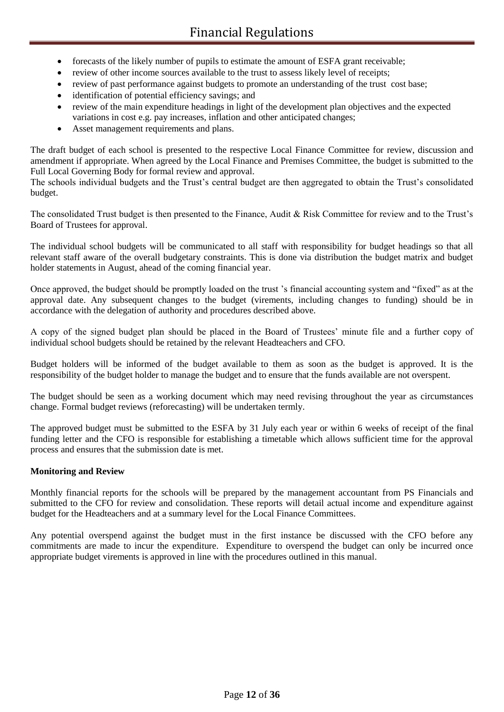- forecasts of the likely number of pupils to estimate the amount of ESFA grant receivable;
- review of other income sources available to the trust to assess likely level of receipts;
- review of past performance against budgets to promote an understanding of the trust cost base;
- identification of potential efficiency savings; and
- review of the main expenditure headings in light of the development plan objectives and the expected variations in cost e.g. pay increases, inflation and other anticipated changes;
- Asset management requirements and plans.

The draft budget of each school is presented to the respective Local Finance Committee for review, discussion and amendment if appropriate. When agreed by the Local Finance and Premises Committee, the budget is submitted to the Full Local Governing Body for formal review and approval.

The schools individual budgets and the Trust's central budget are then aggregated to obtain the Trust's consolidated budget.

The consolidated Trust budget is then presented to the Finance, Audit & Risk Committee for review and to the Trust's Board of Trustees for approval.

The individual school budgets will be communicated to all staff with responsibility for budget headings so that all relevant staff aware of the overall budgetary constraints. This is done via distribution the budget matrix and budget holder statements in August, ahead of the coming financial year.

Once approved, the budget should be promptly loaded on the trust 's financial accounting system and "fixed" as at the approval date. Any subsequent changes to the budget (virements, including changes to funding) should be in accordance with the delegation of authority and procedures described above.

A copy of the signed budget plan should be placed in the Board of Trustees' minute file and a further copy of individual school budgets should be retained by the relevant Headteachers and CFO.

Budget holders will be informed of the budget available to them as soon as the budget is approved. It is the responsibility of the budget holder to manage the budget and to ensure that the funds available are not overspent.

The budget should be seen as a working document which may need revising throughout the year as circumstances change. Formal budget reviews (reforecasting) will be undertaken termly.

The approved budget must be submitted to the ESFA by 31 July each year or within 6 weeks of receipt of the final funding letter and the CFO is responsible for establishing a timetable which allows sufficient time for the approval process and ensures that the submission date is met.

### **Monitoring and Review**

Monthly financial reports for the schools will be prepared by the management accountant from PS Financials and submitted to the CFO for review and consolidation. These reports will detail actual income and expenditure against budget for the Headteachers and at a summary level for the Local Finance Committees.

Any potential overspend against the budget must in the first instance be discussed with the CFO before any commitments are made to incur the expenditure. Expenditure to overspend the budget can only be incurred once appropriate budget virements is approved in line with the procedures outlined in this manual.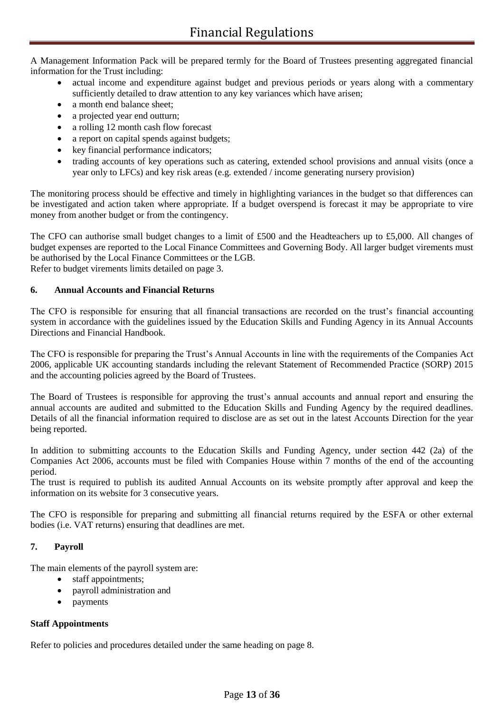A Management Information Pack will be prepared termly for the Board of Trustees presenting aggregated financial information for the Trust including:

- actual income and expenditure against budget and previous periods or years along with a commentary sufficiently detailed to draw attention to any key variances which have arisen;
- a month end balance sheet;
- a projected year end outturn;
- a rolling 12 month cash flow forecast
- a report on capital spends against budgets;
- key financial performance indicators;
- trading accounts of key operations such as catering, extended school provisions and annual visits (once a year only to LFCs) and key risk areas (e.g. extended / income generating nursery provision)

The monitoring process should be effective and timely in highlighting variances in the budget so that differences can be investigated and action taken where appropriate. If a budget overspend is forecast it may be appropriate to vire money from another budget or from the contingency.

The CFO can authorise small budget changes to a limit of £500 and the Headteachers up to £5,000. All changes of budget expenses are reported to the Local Finance Committees and Governing Body. All larger budget virements must be authorised by the Local Finance Committees or the LGB. Refer to budget virements limits detailed on page 3.

### **6. Annual Accounts and Financial Returns**

The CFO is responsible for ensuring that all financial transactions are recorded on the trust's financial accounting system in accordance with the guidelines issued by the Education Skills and Funding Agency in its Annual Accounts Directions and Financial Handbook.

The CFO is responsible for preparing the Trust's Annual Accounts in line with the requirements of the Companies Act 2006, applicable UK accounting standards including the relevant Statement of Recommended Practice (SORP) 2015 and the accounting policies agreed by the Board of Trustees.

The Board of Trustees is responsible for approving the trust's annual accounts and annual report and ensuring the annual accounts are audited and submitted to the Education Skills and Funding Agency by the required deadlines. Details of all the financial information required to disclose are as set out in the latest Accounts Direction for the year being reported.

In addition to submitting accounts to the Education Skills and Funding Agency, under section 442 (2a) of the Companies Act 2006, accounts must be filed with Companies House within 7 months of the end of the accounting period.

The trust is required to publish its audited Annual Accounts on its website promptly after approval and keep the information on its website for 3 consecutive years.

The CFO is responsible for preparing and submitting all financial returns required by the ESFA or other external bodies (i.e. VAT returns) ensuring that deadlines are met.

### **7. Payroll**

The main elements of the payroll system are:

- staff appointments;
- payroll administration and
- payments

### **Staff Appointments**

Refer to policies and procedures detailed under the same heading on page 8.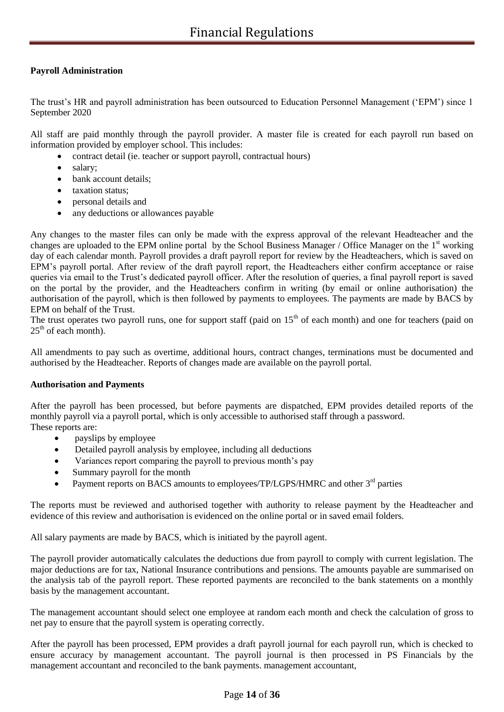### **Payroll Administration**

The trust's HR and payroll administration has been outsourced to Education Personnel Management ('EPM') since 1 September 2020

All staff are paid monthly through the payroll provider. A master file is created for each payroll run based on information provided by employer school. This includes:

- contract detail (ie. teacher or support payroll, contractual hours)
- salary;
- bank account details;
- taxation status;
- personal details and
- any deductions or allowances payable

Any changes to the master files can only be made with the express approval of the relevant Headteacher and the changes are uploaded to the EPM online portal by the School Business Manager / Office Manager on the 1<sup>st</sup> working day of each calendar month. Payroll provides a draft payroll report for review by the Headteachers, which is saved on EPM's payroll portal. After review of the draft payroll report, the Headteachers either confirm acceptance or raise queries via email to the Trust's dedicated payroll officer. After the resolution of queries, a final payroll report is saved on the portal by the provider, and the Headteachers confirm in writing (by email or online authorisation) the authorisation of the payroll, which is then followed by payments to employees. The payments are made by BACS by EPM on behalf of the Trust.

The trust operates two payroll runs, one for support staff (paid on  $15<sup>th</sup>$  of each month) and one for teachers (paid on  $25<sup>th</sup>$  of each month).

All amendments to pay such as overtime, additional hours, contract changes, terminations must be documented and authorised by the Headteacher. Reports of changes made are available on the payroll portal.

### **Authorisation and Payments**

After the payroll has been processed, but before payments are dispatched, EPM provides detailed reports of the monthly payroll via a payroll portal, which is only accessible to authorised staff through a password. These reports are:

- payslips by employee
- Detailed payroll analysis by employee, including all deductions
- Variances report comparing the payroll to previous month's pay
- Summary payroll for the month
- Payment reports on BACS amounts to employees/TP/LGPS/HMRC and other 3<sup>rd</sup> parties

The reports must be reviewed and authorised together with authority to release payment by the Headteacher and evidence of this review and authorisation is evidenced on the online portal or in saved email folders.

All salary payments are made by BACS, which is initiated by the payroll agent.

The payroll provider automatically calculates the deductions due from payroll to comply with current legislation. The major deductions are for tax, National Insurance contributions and pensions. The amounts payable are summarised on the analysis tab of the payroll report. These reported payments are reconciled to the bank statements on a monthly basis by the management accountant.

The management accountant should select one employee at random each month and check the calculation of gross to net pay to ensure that the payroll system is operating correctly.

After the payroll has been processed, EPM provides a draft payroll journal for each payroll run, which is checked to ensure accuracy by management accountant. The payroll journal is then processed in PS Financials by the management accountant and reconciled to the bank payments. management accountant,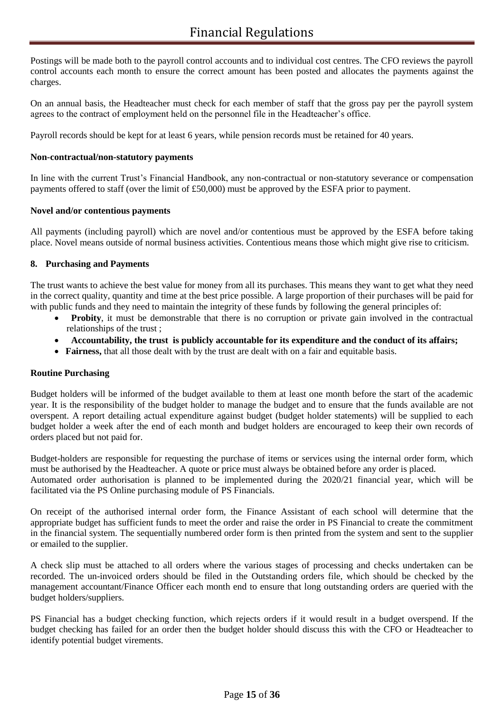Postings will be made both to the payroll control accounts and to individual cost centres. The CFO reviews the payroll control accounts each month to ensure the correct amount has been posted and allocates the payments against the charges.

On an annual basis, the Headteacher must check for each member of staff that the gross pay per the payroll system agrees to the contract of employment held on the personnel file in the Headteacher's office.

Payroll records should be kept for at least 6 years, while pension records must be retained for 40 years.

### **Non-contractual/non-statutory payments**

In line with the current Trust's Financial Handbook, any non-contractual or non-statutory severance or compensation payments offered to staff (over the limit of £50,000) must be approved by the ESFA prior to payment.

### **Novel and/or contentious payments**

All payments (including payroll) which are novel and/or contentious must be approved by the ESFA before taking place. Novel means outside of normal business activities. Contentious means those which might give rise to criticism.

### **8. Purchasing and Payments**

The trust wants to achieve the best value for money from all its purchases. This means they want to get what they need in the correct quality, quantity and time at the best price possible. A large proportion of their purchases will be paid for with public funds and they need to maintain the integrity of these funds by following the general principles of:

- **Probity**, it must be demonstrable that there is no corruption or private gain involved in the contractual relationships of the trust ;
- **Accountability, the trust is publicly accountable for its expenditure and the conduct of its affairs;**
- **Fairness,** that all those dealt with by the trust are dealt with on a fair and equitable basis.

### **Routine Purchasing**

Budget holders will be informed of the budget available to them at least one month before the start of the academic year. It is the responsibility of the budget holder to manage the budget and to ensure that the funds available are not overspent. A report detailing actual expenditure against budget (budget holder statements) will be supplied to each budget holder a week after the end of each month and budget holders are encouraged to keep their own records of orders placed but not paid for.

Budget-holders are responsible for requesting the purchase of items or services using the internal order form, which must be authorised by the Headteacher. A quote or price must always be obtained before any order is placed. Automated order authorisation is planned to be implemented during the 2020/21 financial year, which will be facilitated via the PS Online purchasing module of PS Financials.

On receipt of the authorised internal order form, the Finance Assistant of each school will determine that the appropriate budget has sufficient funds to meet the order and raise the order in PS Financial to create the commitment in the financial system. The sequentially numbered order form is then printed from the system and sent to the supplier or emailed to the supplier.

A check slip must be attached to all orders where the various stages of processing and checks undertaken can be recorded. The un-invoiced orders should be filed in the Outstanding orders file, which should be checked by the management accountant/Finance Officer each month end to ensure that long outstanding orders are queried with the budget holders/suppliers.

PS Financial has a budget checking function, which rejects orders if it would result in a budget overspend. If the budget checking has failed for an order then the budget holder should discuss this with the CFO or Headteacher to identify potential budget virements.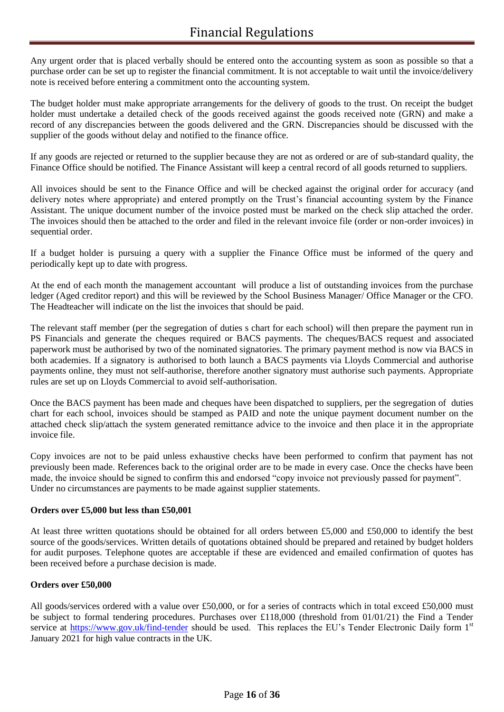Any urgent order that is placed verbally should be entered onto the accounting system as soon as possible so that a purchase order can be set up to register the financial commitment. It is not acceptable to wait until the invoice/delivery note is received before entering a commitment onto the accounting system.

The budget holder must make appropriate arrangements for the delivery of goods to the trust. On receipt the budget holder must undertake a detailed check of the goods received against the goods received note (GRN) and make a record of any discrepancies between the goods delivered and the GRN. Discrepancies should be discussed with the supplier of the goods without delay and notified to the finance office.

If any goods are rejected or returned to the supplier because they are not as ordered or are of sub-standard quality, the Finance Office should be notified. The Finance Assistant will keep a central record of all goods returned to suppliers.

All invoices should be sent to the Finance Office and will be checked against the original order for accuracy (and delivery notes where appropriate) and entered promptly on the Trust's financial accounting system by the Finance Assistant. The unique document number of the invoice posted must be marked on the check slip attached the order. The invoices should then be attached to the order and filed in the relevant invoice file (order or non-order invoices) in sequential order.

If a budget holder is pursuing a query with a supplier the Finance Office must be informed of the query and periodically kept up to date with progress.

At the end of each month the management accountant will produce a list of outstanding invoices from the purchase ledger (Aged creditor report) and this will be reviewed by the School Business Manager/ Office Manager or the CFO. The Headteacher will indicate on the list the invoices that should be paid.

The relevant staff member (per the segregation of duties s chart for each school) will then prepare the payment run in PS Financials and generate the cheques required or BACS payments. The cheques/BACS request and associated paperwork must be authorised by two of the nominated signatories. The primary payment method is now via BACS in both academies. If a signatory is authorised to both launch a BACS payments via Lloyds Commercial and authorise payments online, they must not self-authorise, therefore another signatory must authorise such payments. Appropriate rules are set up on Lloyds Commercial to avoid self-authorisation.

Once the BACS payment has been made and cheques have been dispatched to suppliers, per the segregation of duties chart for each school, invoices should be stamped as PAID and note the unique payment document number on the attached check slip/attach the system generated remittance advice to the invoice and then place it in the appropriate invoice file.

Copy invoices are not to be paid unless exhaustive checks have been performed to confirm that payment has not previously been made. References back to the original order are to be made in every case. Once the checks have been made, the invoice should be signed to confirm this and endorsed "copy invoice not previously passed for payment". Under no circumstances are payments to be made against supplier statements.

### **Orders over £5,000 but less than £50,001**

At least three written quotations should be obtained for all orders between £5,000 and £50,000 to identify the best source of the goods/services. Written details of quotations obtained should be prepared and retained by budget holders for audit purposes. Telephone quotes are acceptable if these are evidenced and emailed confirmation of quotes has been received before a purchase decision is made.

### **Orders over £50,000**

All goods/services ordered with a value over £50,000, or for a series of contracts which in total exceed £50,000 must be subject to formal tendering procedures. Purchases over £118,000 (threshold from 01/01/21) the Find a Tender service at<https://www.gov.uk/find-tender> should be used. This replaces the EU's Tender Electronic Daily form 1st January 2021 for high value contracts in the UK.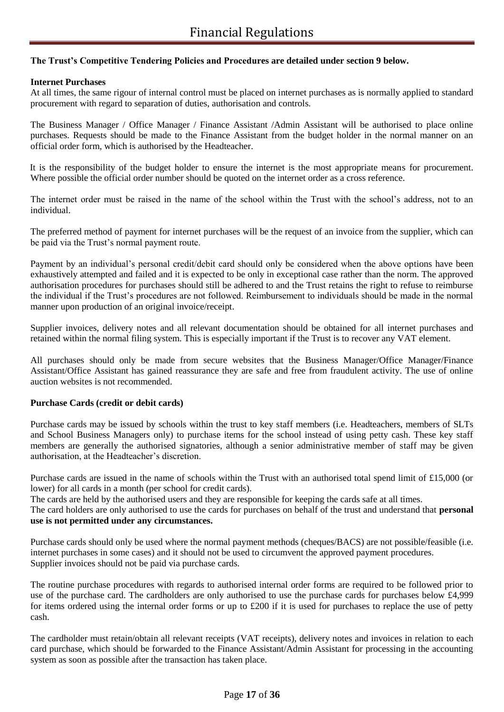### **The Trust's Competitive Tendering Policies and Procedures are detailed under section 9 below.**

### **Internet Purchases**

At all times, the same rigour of internal control must be placed on internet purchases as is normally applied to standard procurement with regard to separation of duties, authorisation and controls.

The Business Manager / Office Manager / Finance Assistant /Admin Assistant will be authorised to place online purchases. Requests should be made to the Finance Assistant from the budget holder in the normal manner on an official order form, which is authorised by the Headteacher.

It is the responsibility of the budget holder to ensure the internet is the most appropriate means for procurement. Where possible the official order number should be quoted on the internet order as a cross reference.

The internet order must be raised in the name of the school within the Trust with the school's address, not to an individual.

The preferred method of payment for internet purchases will be the request of an invoice from the supplier, which can be paid via the Trust's normal payment route.

Payment by an individual's personal credit/debit card should only be considered when the above options have been exhaustively attempted and failed and it is expected to be only in exceptional case rather than the norm. The approved authorisation procedures for purchases should still be adhered to and the Trust retains the right to refuse to reimburse the individual if the Trust's procedures are not followed. Reimbursement to individuals should be made in the normal manner upon production of an original invoice/receipt.

Supplier invoices, delivery notes and all relevant documentation should be obtained for all internet purchases and retained within the normal filing system. This is especially important if the Trust is to recover any VAT element.

All purchases should only be made from secure websites that the Business Manager/Office Manager/Finance Assistant/Office Assistant has gained reassurance they are safe and free from fraudulent activity. The use of online auction websites is not recommended.

### **Purchase Cards (credit or debit cards)**

Purchase cards may be issued by schools within the trust to key staff members (i.e. Headteachers, members of SLTs and School Business Managers only) to purchase items for the school instead of using petty cash. These key staff members are generally the authorised signatories, although a senior administrative member of staff may be given authorisation, at the Headteacher's discretion.

Purchase cards are issued in the name of schools within the Trust with an authorised total spend limit of £15,000 (or lower) for all cards in a month (per school for credit cards).

The cards are held by the authorised users and they are responsible for keeping the cards safe at all times.

The card holders are only authorised to use the cards for purchases on behalf of the trust and understand that **personal use is not permitted under any circumstances.**

Purchase cards should only be used where the normal payment methods (cheques/BACS) are not possible/feasible (i.e. internet purchases in some cases) and it should not be used to circumvent the approved payment procedures. Supplier invoices should not be paid via purchase cards.

The routine purchase procedures with regards to authorised internal order forms are required to be followed prior to use of the purchase card. The cardholders are only authorised to use the purchase cards for purchases below £4,999 for items ordered using the internal order forms or up to  $\pounds 200$  if it is used for purchases to replace the use of petty cash.

The cardholder must retain/obtain all relevant receipts (VAT receipts), delivery notes and invoices in relation to each card purchase, which should be forwarded to the Finance Assistant/Admin Assistant for processing in the accounting system as soon as possible after the transaction has taken place.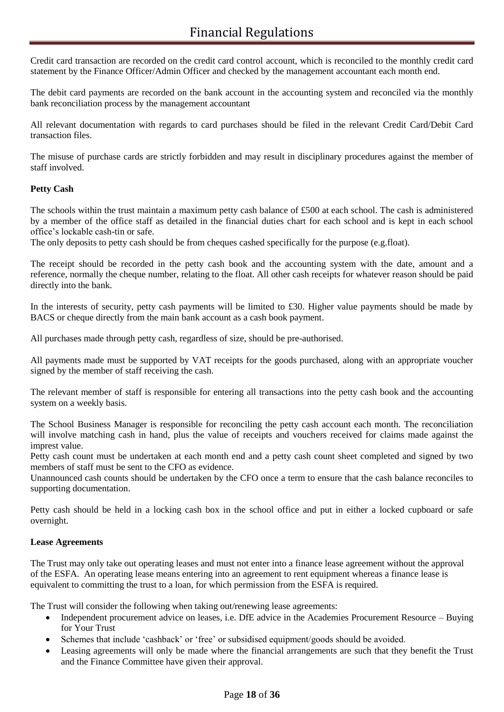Credit card transaction are recorded on the credit card control account, which is reconciled to the monthly credit card statement by the Finance Officer/Admin Officer and checked by the management accountant each month end.

The debit card payments are recorded on the bank account in the accounting system and reconciled via the monthly bank reconciliation process by the management accountant

All relevant documentation with regards to card purchases should be filed in the relevant Credit Card/Debit Card transaction files.

The misuse of purchase cards are strictly forbidden and may result in disciplinary procedures against the member of staff involved.

### **Petty Cash**

The schools within the trust maintain a maximum petty cash balance of £500 at each school. The cash is administered by a member of the office staff as detailed in the financial duties chart for each school and is kept in each school office's lockable cash-tin or safe.

The only deposits to petty cash should be from cheques cashed specifically for the purpose (e.g.float).

The receipt should be recorded in the petty cash book and the accounting system with the date, amount and a reference, normally the cheque number, relating to the float. All other cash receipts for whatever reason should be paid directly into the bank.

In the interests of security, petty cash payments will be limited to £30. Higher value payments should be made by BACS or cheque directly from the main bank account as a cash book payment.

All purchases made through petty cash, regardless of size, should be pre-authorised.

All payments made must be supported by VAT receipts for the goods purchased, along with an appropriate voucher signed by the member of staff receiving the cash.

The relevant member of staff is responsible for entering all transactions into the petty cash book and the accounting system on a weekly basis.

The School Business Manager is responsible for reconciling the petty cash account each month. The reconciliation will involve matching cash in hand, plus the value of receipts and vouchers received for claims made against the imprest value.

Petty cash count must be undertaken at each month end and a petty cash count sheet completed and signed by two members of staff must be sent to the CFO as evidence.

Unannounced cash counts should be undertaken by the CFO once a term to ensure that the cash balance reconciles to supporting documentation.

Petty cash should be held in a locking cash box in the school office and put in either a locked cupboard or safe overnight.

### **Lease Agreements**

The Trust may only take out operating leases and must not enter into a finance lease agreement without the approval of the ESFA. An operating lease means entering into an agreement to rent equipment whereas a finance lease is equivalent to committing the trust to a loan, for which permission from the ESFA is required.

The Trust will consider the following when taking out/renewing lease agreements:

- Independent procurement advice on leases, i.e. DfE advice in the Academies Procurement Resource Buying for Your Trust
- Schemes that include 'cashback' or 'free' or subsidised equipment/goods should be avoided.
- Leasing agreements will only be made where the financial arrangements are such that they benefit the Trust and the Finance Committee have given their approval.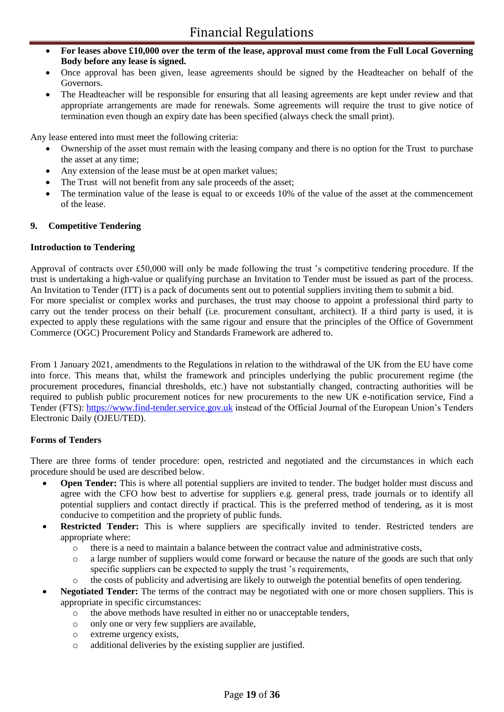- **For leases above £10,000 over the term of the lease, approval must come from the Full Local Governing Body before any lease is signed.**
- Once approval has been given, lease agreements should be signed by the Headteacher on behalf of the Governors.
- The Headteacher will be responsible for ensuring that all leasing agreements are kept under review and that appropriate arrangements are made for renewals. Some agreements will require the trust to give notice of termination even though an expiry date has been specified (always check the small print).

Any lease entered into must meet the following criteria:

- Ownership of the asset must remain with the leasing company and there is no option for the Trust to purchase the asset at any time;
- Any extension of the lease must be at open market values;
- The Trust will not benefit from any sale proceeds of the asset;
- The termination value of the lease is equal to or exceeds 10% of the value of the asset at the commencement of the lease.

### **9. Competitive Tendering**

### **Introduction to Tendering**

Approval of contracts over £50,000 will only be made following the trust 's competitive tendering procedure. If the trust is undertaking a high-value or qualifying purchase an Invitation to Tender must be issued as part of the process. An Invitation to Tender (ITT) is a pack of documents sent out to potential suppliers inviting them to submit a bid. For more specialist or complex works and purchases, the trust may choose to appoint a professional third party to carry out the tender process on their behalf (i.e. procurement consultant, architect). If a third party is used, it is expected to apply these regulations with the same rigour and ensure that the principles of the Office of Government Commerce (OGC) Procurement Policy and Standards Framework are adhered to.

From 1 January 2021, amendments to the Regulations in relation to the withdrawal of the UK from the EU have come into force. This means that, whilst the framework and principles underlying the public procurement regime (the procurement procedures, financial thresholds, etc.) have not substantially changed, contracting authorities will be required to publish public procurement notices for new procurements to the new UK e-notification service, Find a Tender (FTS): [https://www.find-tender.service.gov.uk](https://www.find-tender.service.gov.uk/) instead of the Official Journal of the European Union's Tenders Electronic Daily (OJEU/TED).

### **Forms of Tenders**

There are three forms of tender procedure: open, restricted and negotiated and the circumstances in which each procedure should be used are described below.

- **Open Tender:** This is where all potential suppliers are invited to tender. The budget holder must discuss and agree with the CFO how best to advertise for suppliers e.g. general press, trade journals or to identify all potential suppliers and contact directly if practical. This is the preferred method of tendering, as it is most conducive to competition and the propriety of public funds.
- **Restricted Tender:** This is where suppliers are specifically invited to tender. Restricted tenders are appropriate where:
	- o there is a need to maintain a balance between the contract value and administrative costs,
	- o a large number of suppliers would come forward or because the nature of the goods are such that only specific suppliers can be expected to supply the trust 's requirements,
	- o the costs of publicity and advertising are likely to outweigh the potential benefits of open tendering.
- **Negotiated Tender:** The terms of the contract may be negotiated with one or more chosen suppliers. This is appropriate in specific circumstances:
	- o the above methods have resulted in either no or unacceptable tenders,
	- o only one or very few suppliers are available,
	- o extreme urgency exists,
	- o additional deliveries by the existing supplier are justified.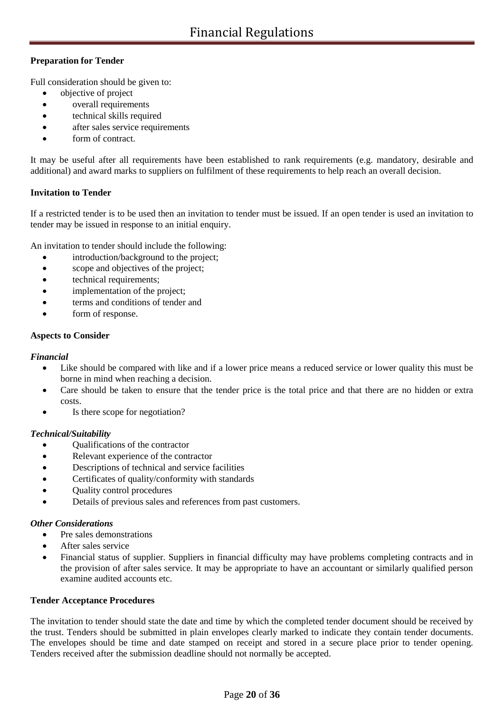### **Preparation for Tender**

Full consideration should be given to:

- objective of project
- overall requirements
- technical skills required
- after sales service requirements
- form of contract.

It may be useful after all requirements have been established to rank requirements (e.g. mandatory, desirable and additional) and award marks to suppliers on fulfilment of these requirements to help reach an overall decision.

### **Invitation to Tender**

If a restricted tender is to be used then an invitation to tender must be issued. If an open tender is used an invitation to tender may be issued in response to an initial enquiry.

An invitation to tender should include the following:

- introduction/background to the project;
- scope and objectives of the project;
- technical requirements;
- implementation of the project;
- terms and conditions of tender and
- form of response.

### **Aspects to Consider**

### *Financial*

- Like should be compared with like and if a lower price means a reduced service or lower quality this must be borne in mind when reaching a decision.
- Care should be taken to ensure that the tender price is the total price and that there are no hidden or extra costs.
- Is there scope for negotiation?

### *Technical/Suitability*

- Qualifications of the contractor
- Relevant experience of the contractor
- Descriptions of technical and service facilities
- Certificates of quality/conformity with standards
- Quality control procedures
- Details of previous sales and references from past customers.

### *Other Considerations*

- Pre sales demonstrations
- After sales service
- Financial status of supplier. Suppliers in financial difficulty may have problems completing contracts and in the provision of after sales service. It may be appropriate to have an accountant or similarly qualified person examine audited accounts etc.

### **Tender Acceptance Procedures**

The invitation to tender should state the date and time by which the completed tender document should be received by the trust. Tenders should be submitted in plain envelopes clearly marked to indicate they contain tender documents. The envelopes should be time and date stamped on receipt and stored in a secure place prior to tender opening. Tenders received after the submission deadline should not normally be accepted.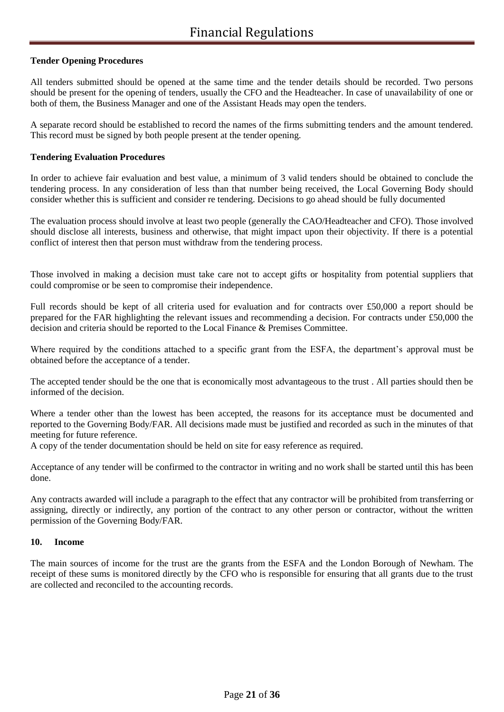### **Tender Opening Procedures**

All tenders submitted should be opened at the same time and the tender details should be recorded. Two persons should be present for the opening of tenders, usually the CFO and the Headteacher. In case of unavailability of one or both of them, the Business Manager and one of the Assistant Heads may open the tenders.

A separate record should be established to record the names of the firms submitting tenders and the amount tendered. This record must be signed by both people present at the tender opening.

### **Tendering Evaluation Procedures**

In order to achieve fair evaluation and best value, a minimum of 3 valid tenders should be obtained to conclude the tendering process. In any consideration of less than that number being received, the Local Governing Body should consider whether this is sufficient and consider re tendering. Decisions to go ahead should be fully documented

The evaluation process should involve at least two people (generally the CAO/Headteacher and CFO). Those involved should disclose all interests, business and otherwise, that might impact upon their objectivity. If there is a potential conflict of interest then that person must withdraw from the tendering process.

Those involved in making a decision must take care not to accept gifts or hospitality from potential suppliers that could compromise or be seen to compromise their independence.

Full records should be kept of all criteria used for evaluation and for contracts over £50,000 a report should be prepared for the FAR highlighting the relevant issues and recommending a decision. For contracts under £50,000 the decision and criteria should be reported to the Local Finance & Premises Committee.

Where required by the conditions attached to a specific grant from the ESFA, the department's approval must be obtained before the acceptance of a tender.

The accepted tender should be the one that is economically most advantageous to the trust . All parties should then be informed of the decision.

Where a tender other than the lowest has been accepted, the reasons for its acceptance must be documented and reported to the Governing Body/FAR. All decisions made must be justified and recorded as such in the minutes of that meeting for future reference.

A copy of the tender documentation should be held on site for easy reference as required.

Acceptance of any tender will be confirmed to the contractor in writing and no work shall be started until this has been done.

Any contracts awarded will include a paragraph to the effect that any contractor will be prohibited from transferring or assigning, directly or indirectly, any portion of the contract to any other person or contractor, without the written permission of the Governing Body/FAR.

### **10. Income**

The main sources of income for the trust are the grants from the ESFA and the London Borough of Newham. The receipt of these sums is monitored directly by the CFO who is responsible for ensuring that all grants due to the trust are collected and reconciled to the accounting records.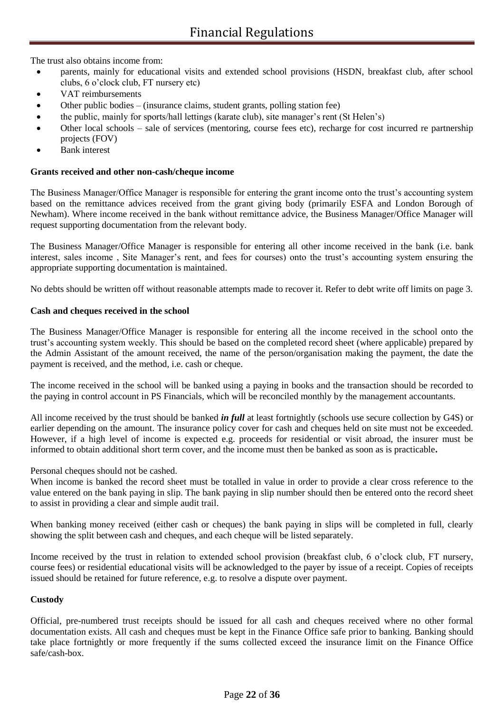The trust also obtains income from:

- parents, mainly for educational visits and extended school provisions (HSDN, breakfast club, after school clubs, 6 o'clock club, FT nursery etc)
- VAT reimbursements
- Other public bodies (insurance claims, student grants, polling station fee)
- the public, mainly for sports/hall lettings (karate club), site manager's rent (St Helen's)
- Other local schools sale of services (mentoring, course fees etc), recharge for cost incurred re partnership projects (FOV)
- Bank interest

### **Grants received and other non-cash/cheque income**

The Business Manager/Office Manager is responsible for entering the grant income onto the trust's accounting system based on the remittance advices received from the grant giving body (primarily ESFA and London Borough of Newham). Where income received in the bank without remittance advice, the Business Manager/Office Manager will request supporting documentation from the relevant body.

The Business Manager/Office Manager is responsible for entering all other income received in the bank (i.e. bank interest, sales income , Site Manager's rent, and fees for courses) onto the trust's accounting system ensuring the appropriate supporting documentation is maintained.

No debts should be written off without reasonable attempts made to recover it. Refer to debt write off limits on page 3.

### **Cash and cheques received in the school**

The Business Manager/Office Manager is responsible for entering all the income received in the school onto the trust's accounting system weekly. This should be based on the completed record sheet (where applicable) prepared by the Admin Assistant of the amount received, the name of the person/organisation making the payment, the date the payment is received, and the method, i.e. cash or cheque.

The income received in the school will be banked using a paying in books and the transaction should be recorded to the paying in control account in PS Financials, which will be reconciled monthly by the management accountants.

All income received by the trust should be banked *in full* at least fortnightly (schools use secure collection by G4S) or earlier depending on the amount. The insurance policy cover for cash and cheques held on site must not be exceeded. However, if a high level of income is expected e.g. proceeds for residential or visit abroad, the insurer must be informed to obtain additional short term cover, and the income must then be banked as soon as is practicable**.**

Personal cheques should not be cashed.

When income is banked the record sheet must be totalled in value in order to provide a clear cross reference to the value entered on the bank paying in slip. The bank paying in slip number should then be entered onto the record sheet to assist in providing a clear and simple audit trail.

When banking money received (either cash or cheques) the bank paying in slips will be completed in full, clearly showing the split between cash and cheques, and each cheque will be listed separately.

Income received by the trust in relation to extended school provision (breakfast club, 6 o'clock club, FT nursery, course fees) or residential educational visits will be acknowledged to the payer by issue of a receipt. Copies of receipts issued should be retained for future reference, e.g. to resolve a dispute over payment.

### **Custody**

Official, pre-numbered trust receipts should be issued for all cash and cheques received where no other formal documentation exists. All cash and cheques must be kept in the Finance Office safe prior to banking. Banking should take place fortnightly or more frequently if the sums collected exceed the insurance limit on the Finance Office safe/cash-box.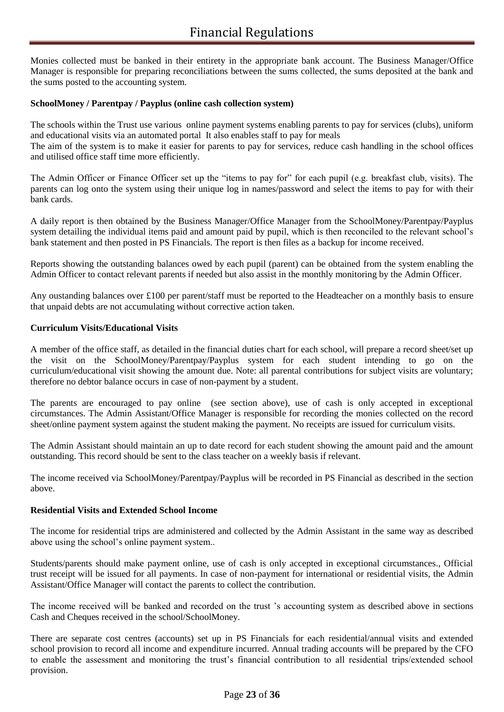Monies collected must be banked in their entirety in the appropriate bank account. The Business Manager/Office Manager is responsible for preparing reconciliations between the sums collected, the sums deposited at the bank and the sums posted to the accounting system.

### **SchoolMoney / Parentpay / Payplus (online cash collection system)**

The schools within the Trust use various online payment systems enabling parents to pay for services (clubs), uniform and educational visits via an automated portal It also enables staff to pay for meals The aim of the system is to make it easier for parents to pay for services, reduce cash handling in the school offices and utilised office staff time more efficiently.

The Admin Officer or Finance Officer set up the "items to pay for" for each pupil (e.g. breakfast club, visits). The parents can log onto the system using their unique log in names/password and select the items to pay for with their bank cards.

A daily report is then obtained by the Business Manager/Office Manager from the SchoolMoney/Parentpay/Payplus system detailing the individual items paid and amount paid by pupil, which is then reconciled to the relevant school's bank statement and then posted in PS Financials. The report is then files as a backup for income received.

Reports showing the outstanding balances owed by each pupil (parent) can be obtained from the system enabling the Admin Officer to contact relevant parents if needed but also assist in the monthly monitoring by the Admin Officer.

Any oustanding balances over £100 per parent/staff must be reported to the Headteacher on a monthly basis to ensure that unpaid debts are not accumulating without corrective action taken.

### **Curriculum Visits/Educational Visits**

A member of the office staff, as detailed in the financial duties chart for each school, will prepare a record sheet/set up the visit on the SchoolMoney/Parentpay/Payplus system for each student intending to go on the curriculum/educational visit showing the amount due. Note: all parental contributions for subject visits are voluntary; therefore no debtor balance occurs in case of non-payment by a student.

The parents are encouraged to pay online (see section above), use of cash is only accepted in exceptional circumstances. The Admin Assistant/Office Manager is responsible for recording the monies collected on the record sheet/online payment system against the student making the payment. No receipts are issued for curriculum visits.

The Admin Assistant should maintain an up to date record for each student showing the amount paid and the amount outstanding. This record should be sent to the class teacher on a weekly basis if relevant.

The income received via SchoolMoney/Parentpay/Payplus will be recorded in PS Financial as described in the section above.

### **Residential Visits and Extended School Income**

The income for residential trips are administered and collected by the Admin Assistant in the same way as described above using the school's online payment system..

Students/parents should make payment online, use of cash is only accepted in exceptional circumstances., Official trust receipt will be issued for all payments. In case of non-payment for international or residential visits, the Admin Assistant/Office Manager will contact the parents to collect the contribution.

The income received will be banked and recorded on the trust 's accounting system as described above in sections Cash and Cheques received in the school/SchoolMoney.

There are separate cost centres (accounts) set up in PS Financials for each residential/annual visits and extended school provision to record all income and expenditure incurred. Annual trading accounts will be prepared by the CFO to enable the assessment and monitoring the trust's financial contribution to all residential trips/extended school provision.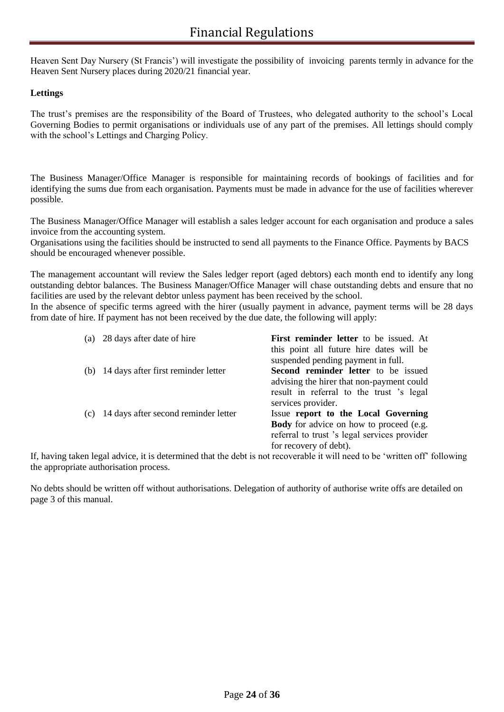Heaven Sent Day Nursery (St Francis') will investigate the possibility of invoicing parents termly in advance for the Heaven Sent Nursery places during 2020/21 financial year.

### **Lettings**

The trust's premises are the responsibility of the Board of Trustees, who delegated authority to the school's Local Governing Bodies to permit organisations or individuals use of any part of the premises. All lettings should comply with the school's Lettings and Charging Policy.

The Business Manager/Office Manager is responsible for maintaining records of bookings of facilities and for identifying the sums due from each organisation. Payments must be made in advance for the use of facilities wherever possible.

The Business Manager/Office Manager will establish a sales ledger account for each organisation and produce a sales invoice from the accounting system.

Organisations using the facilities should be instructed to send all payments to the Finance Office. Payments by BACS should be encouraged whenever possible.

The management accountant will review the Sales ledger report (aged debtors) each month end to identify any long outstanding debtor balances. The Business Manager/Office Manager will chase outstanding debts and ensure that no facilities are used by the relevant debtor unless payment has been received by the school.

In the absence of specific terms agreed with the hirer (usually payment in advance, payment terms will be 28 days from date of hire. If payment has not been received by the due date, the following will apply:

| (a) | 28 days after date of hire           | First reminder letter to be issued. At         |
|-----|--------------------------------------|------------------------------------------------|
|     |                                      | this point all future hire dates will be       |
|     |                                      | suspended pending payment in full.             |
| (b) | 14 days after first reminder letter  | Second reminder letter to be issued            |
|     |                                      | advising the hirer that non-payment could      |
|     |                                      | result in referral to the trust 's legal       |
|     |                                      | services provider.                             |
| (c) | 14 days after second reminder letter | Issue report to the Local Governing            |
|     |                                      | <b>Body</b> for advice on how to proceed (e.g. |
|     |                                      | referral to trust 's legal services provider   |
|     |                                      | for recovery of debt).                         |

If, having taken legal advice, it is determined that the debt is not recoverable it will need to be 'written off' following the appropriate authorisation process.

No debts should be written off without authorisations. Delegation of authority of authorise write offs are detailed on page 3 of this manual.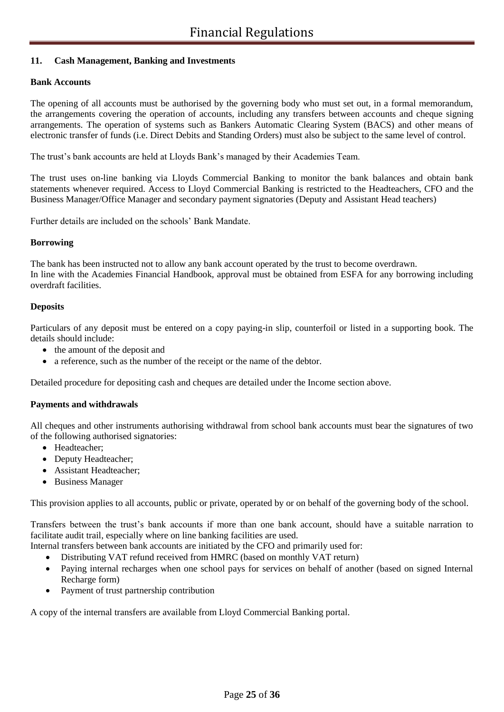### **11. Cash Management, Banking and Investments**

### **Bank Accounts**

The opening of all accounts must be authorised by the governing body who must set out, in a formal memorandum, the arrangements covering the operation of accounts, including any transfers between accounts and cheque signing arrangements. The operation of systems such as Bankers Automatic Clearing System (BACS) and other means of electronic transfer of funds (i.e. Direct Debits and Standing Orders) must also be subject to the same level of control.

The trust's bank accounts are held at Lloyds Bank's managed by their Academies Team.

The trust uses on-line banking via Lloyds Commercial Banking to monitor the bank balances and obtain bank statements whenever required. Access to Lloyd Commercial Banking is restricted to the Headteachers, CFO and the Business Manager/Office Manager and secondary payment signatories (Deputy and Assistant Head teachers)

Further details are included on the schools' Bank Mandate.

### **Borrowing**

The bank has been instructed not to allow any bank account operated by the trust to become overdrawn. In line with the Academies Financial Handbook, approval must be obtained from ESFA for any borrowing including overdraft facilities.

### **Deposits**

Particulars of any deposit must be entered on a copy paying-in slip, counterfoil or listed in a supporting book. The details should include:

- the amount of the deposit and
- a reference, such as the number of the receipt or the name of the debtor.

Detailed procedure for depositing cash and cheques are detailed under the Income section above.

### **Payments and withdrawals**

All cheques and other instruments authorising withdrawal from school bank accounts must bear the signatures of two of the following authorised signatories:

- Headteacher;
- Deputy Headteacher;
- Assistant Headteacher;
- Business Manager

This provision applies to all accounts, public or private, operated by or on behalf of the governing body of the school.

Transfers between the trust's bank accounts if more than one bank account, should have a suitable narration to facilitate audit trail, especially where on line banking facilities are used.

- Internal transfers between bank accounts are initiated by the CFO and primarily used for:
	- Distributing VAT refund received from HMRC (based on monthly VAT return)
	- Paying internal recharges when one school pays for services on behalf of another (based on signed Internal Recharge form)
	- Payment of trust partnership contribution

A copy of the internal transfers are available from Lloyd Commercial Banking portal.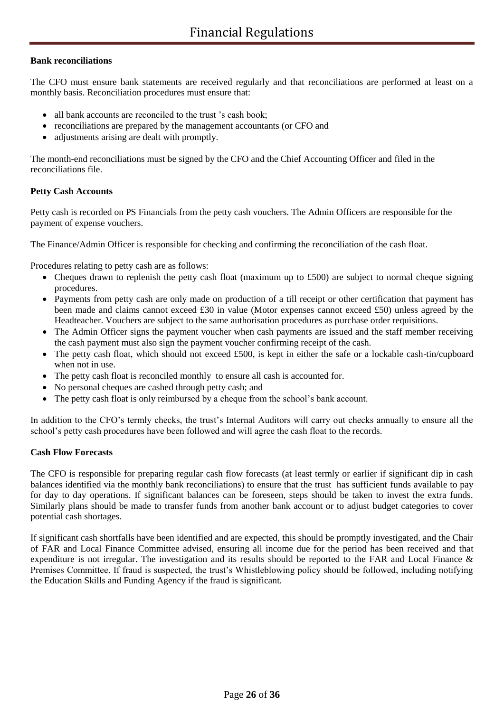### **Bank reconciliations**

The CFO must ensure bank statements are received regularly and that reconciliations are performed at least on a monthly basis. Reconciliation procedures must ensure that:

- all bank accounts are reconciled to the trust 's cash book;
- reconciliations are prepared by the management accountants (or CFO and
- adjustments arising are dealt with promptly.

The month-end reconciliations must be signed by the CFO and the Chief Accounting Officer and filed in the reconciliations file.

### **Petty Cash Accounts**

Petty cash is recorded on PS Financials from the petty cash vouchers. The Admin Officers are responsible for the payment of expense vouchers.

The Finance/Admin Officer is responsible for checking and confirming the reconciliation of the cash float.

Procedures relating to petty cash are as follows:

- Cheques drawn to replenish the petty cash float (maximum up to £500) are subject to normal cheque signing procedures.
- Payments from petty cash are only made on production of a till receipt or other certification that payment has been made and claims cannot exceed £30 in value (Motor expenses cannot exceed £50) unless agreed by the Headteacher. Vouchers are subject to the same authorisation procedures as purchase order requisitions.
- The Admin Officer signs the payment voucher when cash payments are issued and the staff member receiving the cash payment must also sign the payment voucher confirming receipt of the cash.
- The petty cash float, which should not exceed £500, is kept in either the safe or a lockable cash-tin/cupboard when not in use.
- The petty cash float is reconciled monthly to ensure all cash is accounted for.
- No personal cheques are cashed through petty cash; and
- The petty cash float is only reimbursed by a cheque from the school's bank account.

In addition to the CFO's termly checks, the trust's Internal Auditors will carry out checks annually to ensure all the school's petty cash procedures have been followed and will agree the cash float to the records.

### **Cash Flow Forecasts**

The CFO is responsible for preparing regular cash flow forecasts (at least termly or earlier if significant dip in cash balances identified via the monthly bank reconciliations) to ensure that the trust has sufficient funds available to pay for day to day operations. If significant balances can be foreseen, steps should be taken to invest the extra funds. Similarly plans should be made to transfer funds from another bank account or to adjust budget categories to cover potential cash shortages.

If significant cash shortfalls have been identified and are expected, this should be promptly investigated, and the Chair of FAR and Local Finance Committee advised, ensuring all income due for the period has been received and that expenditure is not irregular. The investigation and its results should be reported to the FAR and Local Finance & Premises Committee. If fraud is suspected, the trust's Whistleblowing policy should be followed, including notifying the Education Skills and Funding Agency if the fraud is significant.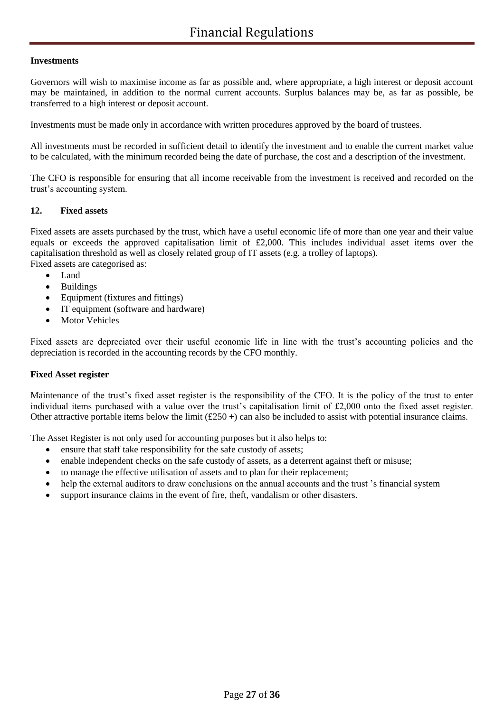### **Investments**

Governors will wish to maximise income as far as possible and, where appropriate, a high interest or deposit account may be maintained, in addition to the normal current accounts. Surplus balances may be, as far as possible, be transferred to a high interest or deposit account.

Investments must be made only in accordance with written procedures approved by the board of trustees.

All investments must be recorded in sufficient detail to identify the investment and to enable the current market value to be calculated, with the minimum recorded being the date of purchase, the cost and a description of the investment.

The CFO is responsible for ensuring that all income receivable from the investment is received and recorded on the trust's accounting system.

### **12. Fixed assets**

Fixed assets are assets purchased by the trust, which have a useful economic life of more than one year and their value equals or exceeds the approved capitalisation limit of £2,000. This includes individual asset items over the capitalisation threshold as well as closely related group of IT assets (e.g. a trolley of laptops). Fixed assets are categorised as:

• Land

- Buildings
- Equipment (fixtures and fittings)
- IT equipment (software and hardware)
- Motor Vehicles

Fixed assets are depreciated over their useful economic life in line with the trust's accounting policies and the depreciation is recorded in the accounting records by the CFO monthly.

### **Fixed Asset register**

Maintenance of the trust's fixed asset register is the responsibility of the CFO. It is the policy of the trust to enter individual items purchased with a value over the trust's capitalisation limit of £2,000 onto the fixed asset register. Other attractive portable items below the limit  $(\text{\pounds}250+)$  can also be included to assist with potential insurance claims.

The Asset Register is not only used for accounting purposes but it also helps to:

- ensure that staff take responsibility for the safe custody of assets;
- enable independent checks on the safe custody of assets, as a deterrent against theft or misuse;
- to manage the effective utilisation of assets and to plan for their replacement;
- help the external auditors to draw conclusions on the annual accounts and the trust 's financial system
- support insurance claims in the event of fire, theft, vandalism or other disasters.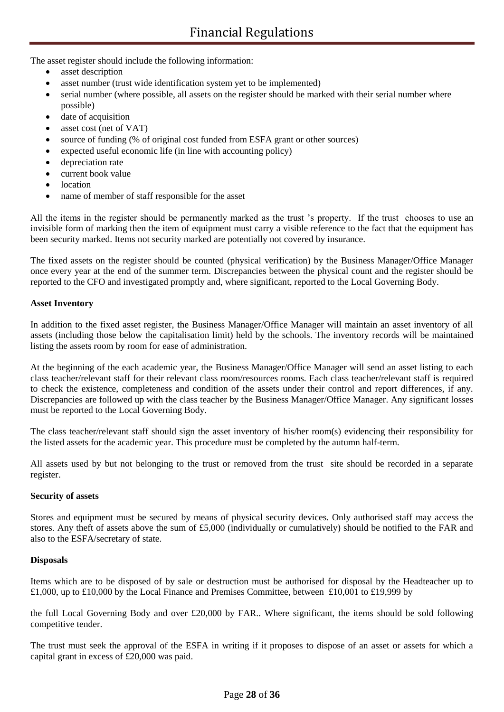The asset register should include the following information:

- asset description
- asset number (trust wide identification system yet to be implemented)
- serial number (where possible, all assets on the register should be marked with their serial number where possible)
- date of acquisition
- asset cost (net of VAT)
- source of funding (% of original cost funded from ESFA grant or other sources)
- expected useful economic life (in line with accounting policy)
- depreciation rate
- current book value
- location
- name of member of staff responsible for the asset

All the items in the register should be permanently marked as the trust 's property. If the trust chooses to use an invisible form of marking then the item of equipment must carry a visible reference to the fact that the equipment has been security marked. Items not security marked are potentially not covered by insurance.

The fixed assets on the register should be counted (physical verification) by the Business Manager/Office Manager once every year at the end of the summer term. Discrepancies between the physical count and the register should be reported to the CFO and investigated promptly and, where significant, reported to the Local Governing Body.

### **Asset Inventory**

In addition to the fixed asset register, the Business Manager/Office Manager will maintain an asset inventory of all assets (including those below the capitalisation limit) held by the schools. The inventory records will be maintained listing the assets room by room for ease of administration.

At the beginning of the each academic year, the Business Manager/Office Manager will send an asset listing to each class teacher/relevant staff for their relevant class room/resources rooms. Each class teacher/relevant staff is required to check the existence, completeness and condition of the assets under their control and report differences, if any. Discrepancies are followed up with the class teacher by the Business Manager/Office Manager. Any significant losses must be reported to the Local Governing Body.

The class teacher/relevant staff should sign the asset inventory of his/her room(s) evidencing their responsibility for the listed assets for the academic year. This procedure must be completed by the autumn half-term.

All assets used by but not belonging to the trust or removed from the trust site should be recorded in a separate register.

### **Security of assets**

Stores and equipment must be secured by means of physical security devices. Only authorised staff may access the stores. Any theft of assets above the sum of £5,000 (individually or cumulatively) should be notified to the FAR and also to the ESFA/secretary of state.

### **Disposals**

Items which are to be disposed of by sale or destruction must be authorised for disposal by the Headteacher up to £1,000, up to £10,000 by the Local Finance and Premises Committee, between £10,001 to £19,999 by

the full Local Governing Body and over £20,000 by FAR.. Where significant, the items should be sold following competitive tender.

The trust must seek the approval of the ESFA in writing if it proposes to dispose of an asset or assets for which a capital grant in excess of £20,000 was paid.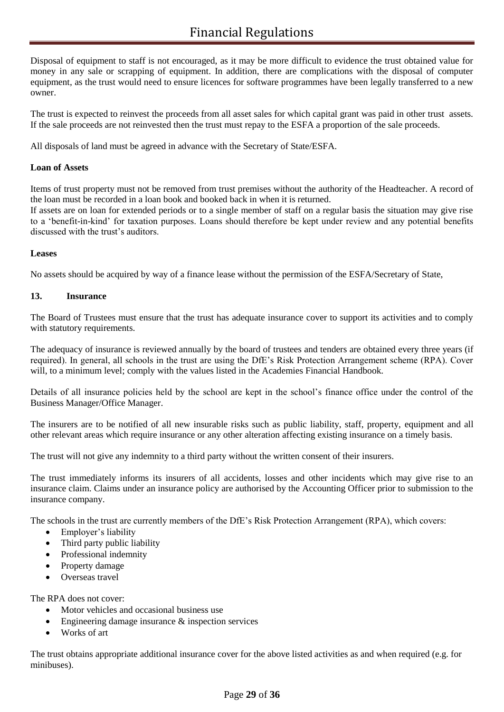Disposal of equipment to staff is not encouraged, as it may be more difficult to evidence the trust obtained value for money in any sale or scrapping of equipment. In addition, there are complications with the disposal of computer equipment, as the trust would need to ensure licences for software programmes have been legally transferred to a new owner.

The trust is expected to reinvest the proceeds from all asset sales for which capital grant was paid in other trust assets. If the sale proceeds are not reinvested then the trust must repay to the ESFA a proportion of the sale proceeds.

All disposals of land must be agreed in advance with the Secretary of State/ESFA.

### **Loan of Assets**

Items of trust property must not be removed from trust premises without the authority of the Headteacher. A record of the loan must be recorded in a loan book and booked back in when it is returned.

If assets are on loan for extended periods or to a single member of staff on a regular basis the situation may give rise to a 'benefit-in-kind' for taxation purposes. Loans should therefore be kept under review and any potential benefits discussed with the trust's auditors.

### **Leases**

No assets should be acquired by way of a finance lease without the permission of the ESFA/Secretary of State,

### **13. Insurance**

The Board of Trustees must ensure that the trust has adequate insurance cover to support its activities and to comply with statutory requirements.

The adequacy of insurance is reviewed annually by the board of trustees and tenders are obtained every three years (if required). In general, all schools in the trust are using the DfE's Risk Protection Arrangement scheme (RPA). Cover will, to a minimum level; comply with the values listed in the Academies Financial Handbook.

Details of all insurance policies held by the school are kept in the school's finance office under the control of the Business Manager/Office Manager.

The insurers are to be notified of all new insurable risks such as public liability, staff, property, equipment and all other relevant areas which require insurance or any other alteration affecting existing insurance on a timely basis.

The trust will not give any indemnity to a third party without the written consent of their insurers.

The trust immediately informs its insurers of all accidents, losses and other incidents which may give rise to an insurance claim. Claims under an insurance policy are authorised by the Accounting Officer prior to submission to the insurance company.

The schools in the trust are currently members of the DfE's Risk Protection Arrangement (RPA), which covers:

- Employer's liability
- Third party public liability
- Professional indemnity
- Property damage
- Overseas travel

The RPA does not cover:

- Motor vehicles and occasional business use
- Engineering damage insurance & inspection services
- Works of art

The trust obtains appropriate additional insurance cover for the above listed activities as and when required (e.g. for minibuses).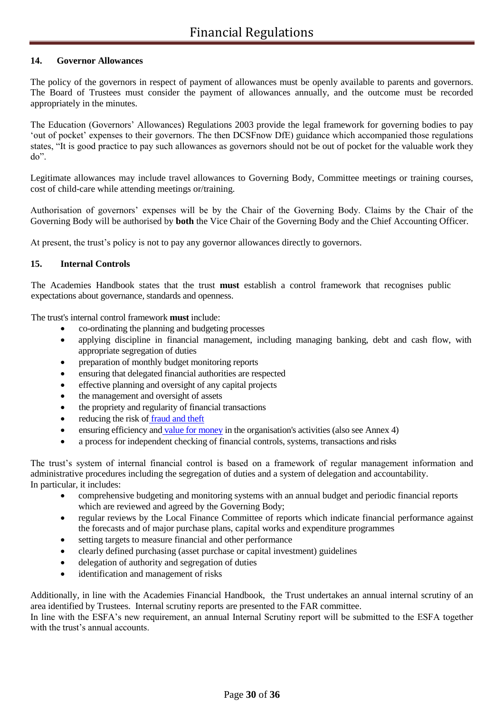### **14. Governor Allowances**

The policy of the governors in respect of payment of allowances must be openly available to parents and governors. The Board of Trustees must consider the payment of allowances annually, and the outcome must be recorded appropriately in the minutes.

The Education (Governors' Allowances) Regulations 2003 provide the legal framework for governing bodies to pay 'out of pocket' expenses to their governors. The then DCSFnow DfE) guidance which accompanied those regulations states, "It is good practice to pay such allowances as governors should not be out of pocket for the valuable work they do".

Legitimate allowances may include travel allowances to Governing Body, Committee meetings or training courses, cost of child-care while attending meetings or/training.

Authorisation of governors' expenses will be by the Chair of the Governing Body. Claims by the Chair of the Governing Body will be authorised by **both** the Vice Chair of the Governing Body and the Chief Accounting Officer.

At present, the trust's policy is not to pay any governor allowances directly to governors.

### **15. Internal Controls**

The Academies Handbook states that the trust **must** establish a control framework that recognises public expectations about governance, standards and openness.

The trust's internal control framework **must** include:

- co-ordinating the planning and budgeting processes
- applying discipline in financial management, including managing banking, debt and cash flow, with appropriate segregation of duties
- preparation of monthly budget monitoring reports
- ensuring that delegated financial authorities are respected
- effective planning and oversight of any capital projects
- the management and oversight of assets
- the propriety and regularity of financial transactions
- reducing the risk of fraud and theft
- ensuring efficiency and value for money in the organisation's activities (also see Annex 4)
- a process for independent checking of financial controls, systems, transactions and risks

The trust's system of internal financial control is based on a framework of regular management information and administrative procedures including the segregation of duties and a system of delegation and accountability. In particular, it includes:

- comprehensive budgeting and monitoring systems with an annual budget and periodic financial reports which are reviewed and agreed by the Governing Body;
- regular reviews by the Local Finance Committee of reports which indicate financial performance against the forecasts and of major purchase plans, capital works and expenditure programmes
- setting targets to measure financial and other performance
- clearly defined purchasing (asset purchase or capital investment) guidelines
- delegation of authority and segregation of duties
- identification and management of risks

Additionally, in line with the Academies Financial Handbook, the Trust undertakes an annual internal scrutiny of an area identified by Trustees. Internal scrutiny reports are presented to the FAR committee.

In line with the ESFA's new requirement, an annual Internal Scrutiny report will be submitted to the ESFA together with the trust's annual accounts.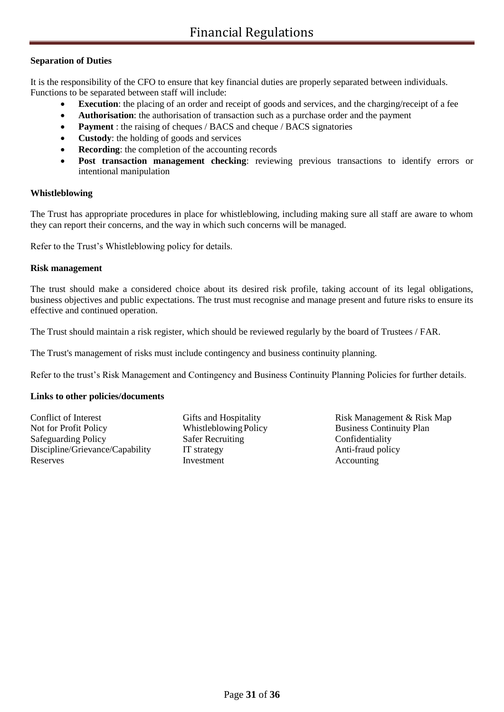### **Separation of Duties**

It is the responsibility of the CFO to ensure that key financial duties are properly separated between individuals. Functions to be separated between staff will include:

- **Execution**: the placing of an order and receipt of goods and services, and the charging/receipt of a fee
- **Authorisation**: the authorisation of transaction such as a purchase order and the payment
- **Payment** : the raising of cheques / BACS and cheque / BACS signatories
- **Custody**: the holding of goods and services
- **Recording:** the completion of the accounting records
- **Post transaction management checking**: reviewing previous transactions to identify errors or intentional manipulation

#### **Whistleblowing**

The Trust has appropriate procedures in place for whistleblowing, including making sure all staff are aware to whom they can report their concerns, and the way in which such concerns will be managed.

Refer to the Trust's Whistleblowing policy for details.

### **Risk management**

The trust should make a considered choice about its desired risk profile, taking account of its legal obligations, business objectives and public expectations. The trust must recognise and manage present and future risks to ensure its effective and continued operation.

The Trust should maintain a risk register, which should be reviewed regularly by the board of Trustees / FAR.

The Trust's management of risks must include contingency and business continuity planning.

Refer to the trust's Risk Management and Contingency and Business Continuity Planning Policies for further details.

### **Links to other policies/documents**

Conflict of Interest Gifts and Hospitality Risk Management & Risk Map Not for Profit Policy Whistleblowing Policy Business Continuity Plan Safeguarding Policy Safer Recruiting Confidentiality Discipline/Grievance/Capability IT strategy Anti-fraud policy Reserves Investment Accounting Accounting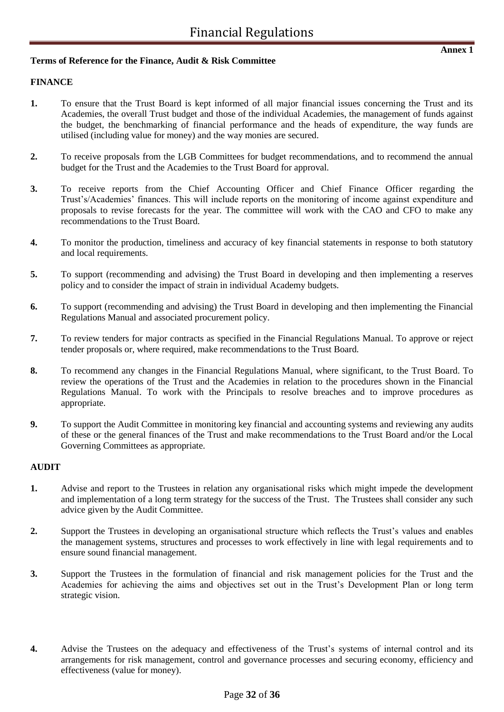### **Terms of Reference for the Finance, Audit & Risk Committee**

### **FINANCE**

- **1.** To ensure that the Trust Board is kept informed of all major financial issues concerning the Trust and its Academies, the overall Trust budget and those of the individual Academies, the management of funds against the budget, the benchmarking of financial performance and the heads of expenditure, the way funds are utilised (including value for money) and the way monies are secured.
- **2.** To receive proposals from the LGB Committees for budget recommendations, and to recommend the annual budget for the Trust and the Academies to the Trust Board for approval.
- **3.** To receive reports from the Chief Accounting Officer and Chief Finance Officer regarding the Trust's/Academies' finances. This will include reports on the monitoring of income against expenditure and proposals to revise forecasts for the year. The committee will work with the CAO and CFO to make any recommendations to the Trust Board.
- **4.** To monitor the production, timeliness and accuracy of key financial statements in response to both statutory and local requirements.
- **5.** To support (recommending and advising) the Trust Board in developing and then implementing a reserves policy and to consider the impact of strain in individual Academy budgets.
- **6.** To support (recommending and advising) the Trust Board in developing and then implementing the Financial Regulations Manual and associated procurement policy.
- **7.** To review tenders for major contracts as specified in the Financial Regulations Manual. To approve or reject tender proposals or, where required, make recommendations to the Trust Board.
- **8.** To recommend any changes in the Financial Regulations Manual, where significant, to the Trust Board. To review the operations of the Trust and the Academies in relation to the procedures shown in the Financial Regulations Manual. To work with the Principals to resolve breaches and to improve procedures as appropriate.
- **9.** To support the Audit Committee in monitoring key financial and accounting systems and reviewing any audits of these or the general finances of the Trust and make recommendations to the Trust Board and/or the Local Governing Committees as appropriate.

### **AUDIT**

- **1.** Advise and report to the Trustees in relation any organisational risks which might impede the development and implementation of a long term strategy for the success of the Trust. The Trustees shall consider any such advice given by the Audit Committee.
- **2.** Support the Trustees in developing an organisational structure which reflects the Trust's values and enables the management systems, structures and processes to work effectively in line with legal requirements and to ensure sound financial management.
- **3.** Support the Trustees in the formulation of financial and risk management policies for the Trust and the Academies for achieving the aims and objectives set out in the Trust's Development Plan or long term strategic vision.
- **4.** Advise the Trustees on the adequacy and effectiveness of the Trust's systems of internal control and its arrangements for risk management, control and governance processes and securing economy, efficiency and effectiveness (value for money).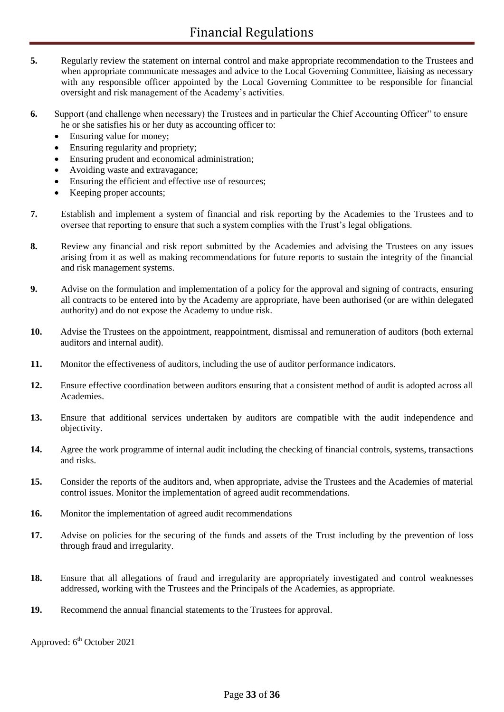- **5.** Regularly review the statement on internal control and make appropriate recommendation to the Trustees and when appropriate communicate messages and advice to the Local Governing Committee, liaising as necessary with any responsible officer appointed by the Local Governing Committee to be responsible for financial oversight and risk management of the Academy's activities.
- **6.** Support (and challenge when necessary) the Trustees and in particular the Chief Accounting Officer" to ensure he or she satisfies his or her duty as accounting officer to:
	- Ensuring value for money;
	- Ensuring regularity and propriety;
	- Ensuring prudent and economical administration;
	- Avoiding waste and extravagance;
	- Ensuring the efficient and effective use of resources;
	- Keeping proper accounts;
- **7.** Establish and implement a system of financial and risk reporting by the Academies to the Trustees and to oversee that reporting to ensure that such a system complies with the Trust's legal obligations.
- **8.** Review any financial and risk report submitted by the Academies and advising the Trustees on any issues arising from it as well as making recommendations for future reports to sustain the integrity of the financial and risk management systems.
- **9.** Advise on the formulation and implementation of a policy for the approval and signing of contracts, ensuring all contracts to be entered into by the Academy are appropriate, have been authorised (or are within delegated authority) and do not expose the Academy to undue risk.
- **10.** Advise the Trustees on the appointment, reappointment, dismissal and remuneration of auditors (both external auditors and internal audit).
- **11.** Monitor the effectiveness of auditors, including the use of auditor performance indicators.
- **12.** Ensure effective coordination between auditors ensuring that a consistent method of audit is adopted across all Academies.
- **13.** Ensure that additional services undertaken by auditors are compatible with the audit independence and objectivity.
- **14.** Agree the work programme of internal audit including the checking of financial controls, systems, transactions and risks.
- **15.** Consider the reports of the auditors and, when appropriate, advise the Trustees and the Academies of material control issues. Monitor the implementation of agreed audit recommendations.
- **16.** Monitor the implementation of agreed audit recommendations
- 17. Advise on policies for the securing of the funds and assets of the Trust including by the prevention of loss through fraud and irregularity.
- **18.** Ensure that all allegations of fraud and irregularity are appropriately investigated and control weaknesses addressed, working with the Trustees and the Principals of the Academies, as appropriate.
- **19.** Recommend the annual financial statements to the Trustees for approval.

Approved:  $6<sup>th</sup>$  October 2021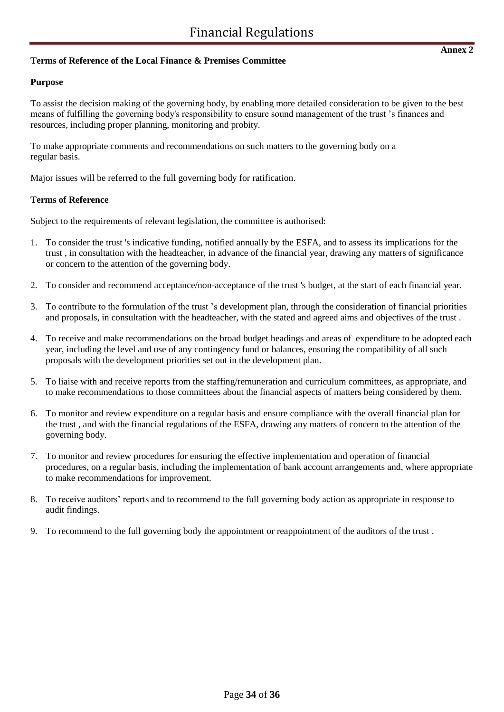### **Terms of Reference of the Local Finance & Premises Committee**

### **Purpose**

To assist the decision making of the governing body, by enabling more detailed consideration to be given to the best means of fulfilling the governing body's responsibility to ensure sound management of the trust 's finances and resources, including proper planning, monitoring and probity.

To make appropriate comments and recommendations on such matters to the governing body on a regular basis.

Major issues will be referred to the full governing body for ratification.

### **Terms of Reference**

Subject to the requirements of relevant legislation, the committee is authorised:

- 1. To consider the trust 's indicative funding, notified annually by the ESFA, and to assess its implications for the trust , in consultation with the headteacher, in advance of the financial year, drawing any matters of significance or concern to the attention of the governing body.
- 2. To consider and recommend acceptance/non-acceptance of the trust 's budget, at the start of each financial year.
- 3. To contribute to the formulation of the trust 's development plan, through the consideration of financial priorities and proposals, in consultation with the headteacher, with the stated and agreed aims and objectives of the trust .
- 4. To receive and make recommendations on the broad budget headings and areas of expenditure to be adopted each year, including the level and use of any contingency fund or balances, ensuring the compatibility of all such proposals with the development priorities set out in the development plan.
- 5. To liaise with and receive reports from the staffing/remuneration and curriculum committees, as appropriate, and to make recommendations to those committees about the financial aspects of matters being considered by them.
- 6. To monitor and review expenditure on a regular basis and ensure compliance with the overall financial plan for the trust , and with the financial regulations of the ESFA, drawing any matters of concern to the attention of the governing body.
- 7. To monitor and review procedures for ensuring the effective implementation and operation of financial procedures, on a regular basis, including the implementation of bank account arrangements and, where appropriate to make recommendations for improvement.
- 8. To receive auditors' reports and to recommend to the full governing body action as appropriate in response to audit findings.
- 9. To recommend to the full governing body the appointment or reappointment of the auditors of the trust .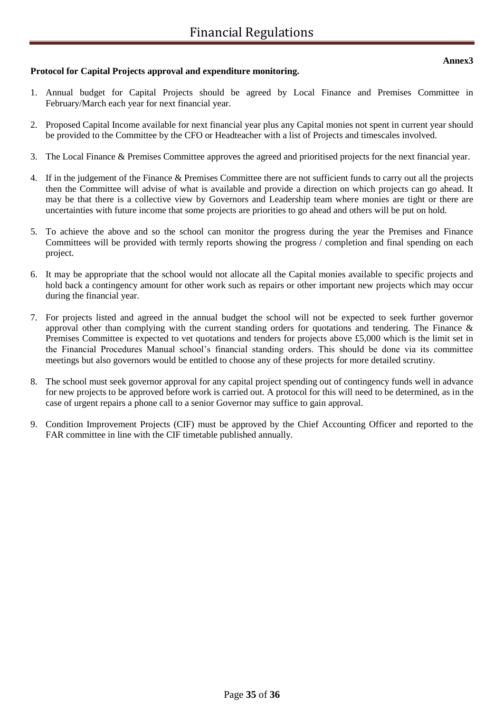# **Protocol for Capital Projects approval and expenditure monitoring.**

- 1. Annual budget for Capital Projects should be agreed by Local Finance and Premises Committee in February/March each year for next financial year.
- 2. Proposed Capital Income available for next financial year plus any Capital monies not spent in current year should be provided to the Committee by the CFO or Headteacher with a list of Projects and timescales involved.
- 3. The Local Finance & Premises Committee approves the agreed and prioritised projects for the next financial year.
- 4. If in the judgement of the Finance & Premises Committee there are not sufficient funds to carry out all the projects then the Committee will advise of what is available and provide a direction on which projects can go ahead. It may be that there is a collective view by Governors and Leadership team where monies are tight or there are uncertainties with future income that some projects are priorities to go ahead and others will be put on hold.
- 5. To achieve the above and so the school can monitor the progress during the year the Premises and Finance Committees will be provided with termly reports showing the progress / completion and final spending on each project.
- 6. It may be appropriate that the school would not allocate all the Capital monies available to specific projects and hold back a contingency amount for other work such as repairs or other important new projects which may occur during the financial year.
- 7. For projects listed and agreed in the annual budget the school will not be expected to seek further governor approval other than complying with the current standing orders for quotations and tendering. The Finance & Premises Committee is expected to vet quotations and tenders for projects above £5,000 which is the limit set in the Financial Procedures Manual school's financial standing orders. This should be done via its committee meetings but also governors would be entitled to choose any of these projects for more detailed scrutiny.
- 8. The school must seek governor approval for any capital project spending out of contingency funds well in advance for new projects to be approved before work is carried out. A protocol for this will need to be determined, as in the case of urgent repairs a phone call to a senior Governor may suffice to gain approval.
- 9. Condition Improvement Projects (CIF) must be approved by the Chief Accounting Officer and reported to the FAR committee in line with the CIF timetable published annually.